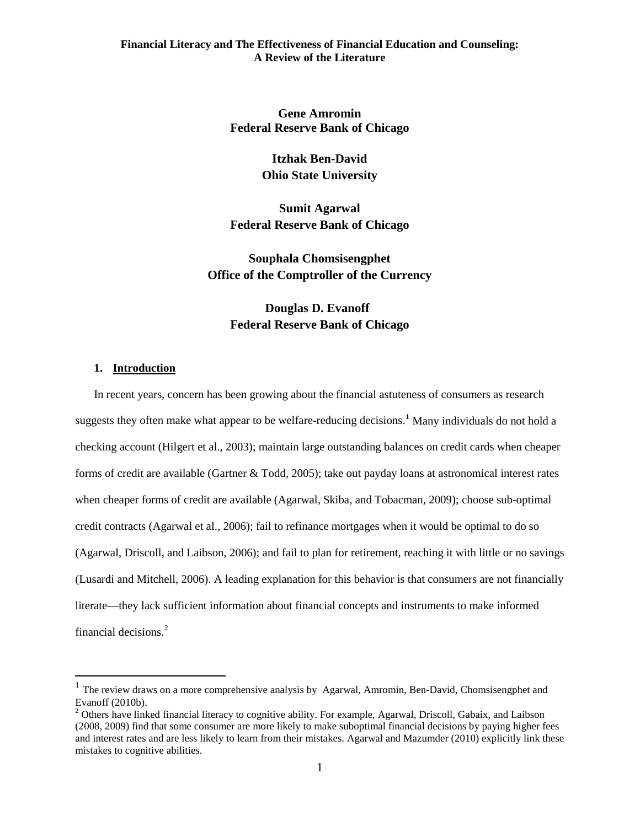**Gene Amromin Federal Reserve Bank of Chicago**

> **Itzhak Ben-David Ohio State University**

**Sumit Agarwal Federal Reserve Bank of Chicago**

**Souphala Chomsisengphet Office of the Comptroller of the Currency**

# **Douglas D. Evanoff Federal Reserve Bank of Chicago**

# **1. Introduction**

In recent years, concern has been growing about the financial astuteness of consumers as research suggests they often make what appear to be welfare-reducing decisions.**[1](#page-0-0)** Many individuals do not hold a checking account (Hilgert et al., 2003); maintain large outstanding balances on credit cards when cheaper forms of credit are available (Gartner & Todd, 2005); take out payday loans at astronomical interest rates when cheaper forms of credit are available (Agarwal, Skiba, and Tobacman, 2009); choose sub-optimal credit contracts (Agarwal et al., 2006); fail to refinance mortgages when it would be optimal to do so (Agarwal, Driscoll, and Laibson, 2006); and fail to plan for retirement, reaching it with little or no savings (Lusardi and Mitchell, 2006). A leading explanation for this behavior is that consumers are not financially literate—they lack sufficient information about financial concepts and instruments to make informed financial decisions. [2](#page-0-1)

<span id="page-0-0"></span><sup>&</sup>lt;sup>1</sup> The review draws on a more comprehensive analysis by Agarwal, Amromin, Ben-David, Chomsisengphet and Evanoff (2010b).<br><sup>2</sup> Others have linked financial literacy to cognitive ability. For example, Agarwal, Driscoll, Gabaix, and Laibson

<span id="page-0-1"></span><sup>(2008, 2009)</sup> find that some consumer are more likely to make suboptimal financial decisions by paying higher fees and interest rates and are less likely to learn from their mistakes. Agarwal and Mazumder (2010) explicitly link these mistakes to cognitive abilities.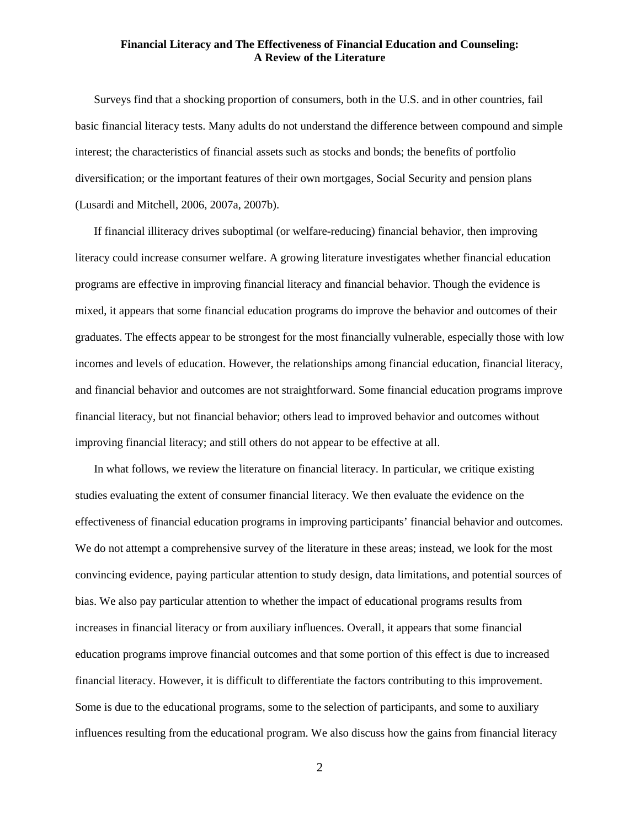Surveys find that a shocking proportion of consumers, both in the U.S. and in other countries, fail basic financial literacy tests. Many adults do not understand the difference between compound and simple interest; the characteristics of financial assets such as stocks and bonds; the benefits of portfolio diversification; or the important features of their own mortgages, Social Security and pension plans (Lusardi and Mitchell, 2006, 2007a, 2007b).

If financial illiteracy drives suboptimal (or welfare-reducing) financial behavior, then improving literacy could increase consumer welfare. A growing literature investigates whether financial education programs are effective in improving financial literacy and financial behavior. Though the evidence is mixed, it appears that some financial education programs do improve the behavior and outcomes of their graduates. The effects appear to be strongest for the most financially vulnerable, especially those with low incomes and levels of education. However, the relationships among financial education, financial literacy, and financial behavior and outcomes are not straightforward. Some financial education programs improve financial literacy, but not financial behavior; others lead to improved behavior and outcomes without improving financial literacy; and still others do not appear to be effective at all.

In what follows, we review the literature on financial literacy. In particular, we critique existing studies evaluating the extent of consumer financial literacy. We then evaluate the evidence on the effectiveness of financial education programs in improving participants' financial behavior and outcomes. We do not attempt a comprehensive survey of the literature in these areas; instead, we look for the most convincing evidence, paying particular attention to study design, data limitations, and potential sources of bias. We also pay particular attention to whether the impact of educational programs results from increases in financial literacy or from auxiliary influences. Overall, it appears that some financial education programs improve financial outcomes and that some portion of this effect is due to increased financial literacy. However, it is difficult to differentiate the factors contributing to this improvement. Some is due to the educational programs, some to the selection of participants, and some to auxiliary influences resulting from the educational program. We also discuss how the gains from financial literacy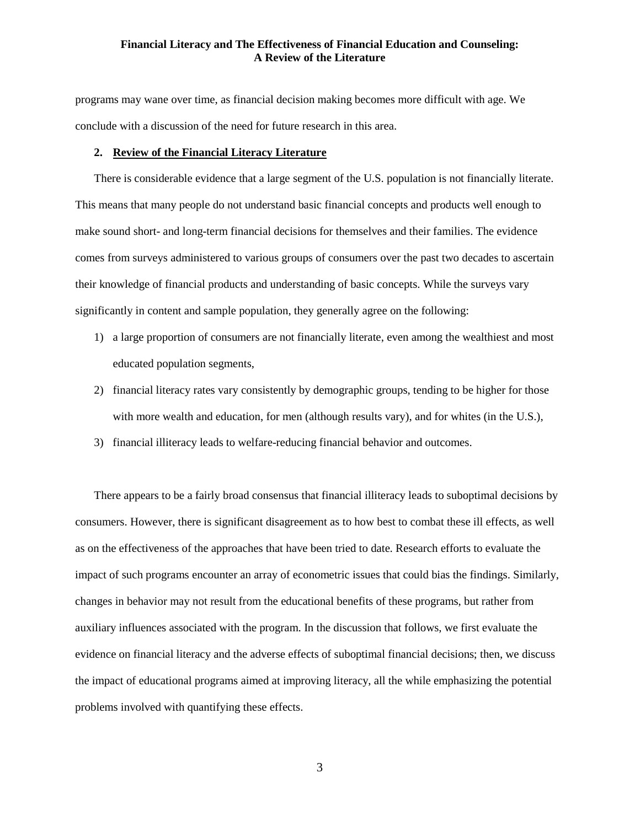programs may wane over time, as financial decision making becomes more difficult with age. We conclude with a discussion of the need for future research in this area.

## **2. Review of the Financial Literacy Literature**

There is considerable evidence that a large segment of the U.S. population is not financially literate. This means that many people do not understand basic financial concepts and products well enough to make sound short- and long-term financial decisions for themselves and their families. The evidence comes from surveys administered to various groups of consumers over the past two decades to ascertain their knowledge of financial products and understanding of basic concepts. While the surveys vary significantly in content and sample population, they generally agree on the following:

- 1) a large proportion of consumers are not financially literate, even among the wealthiest and most educated population segments,
- 2) financial literacy rates vary consistently by demographic groups, tending to be higher for those with more wealth and education, for men (although results vary), and for whites (in the U.S.),
- 3) financial illiteracy leads to welfare-reducing financial behavior and outcomes.

There appears to be a fairly broad consensus that financial illiteracy leads to suboptimal decisions by consumers. However, there is significant disagreement as to how best to combat these ill effects, as well as on the effectiveness of the approaches that have been tried to date. Research efforts to evaluate the impact of such programs encounter an array of econometric issues that could bias the findings. Similarly, changes in behavior may not result from the educational benefits of these programs, but rather from auxiliary influences associated with the program. In the discussion that follows, we first evaluate the evidence on financial literacy and the adverse effects of suboptimal financial decisions; then, we discuss the impact of educational programs aimed at improving literacy, all the while emphasizing the potential problems involved with quantifying these effects.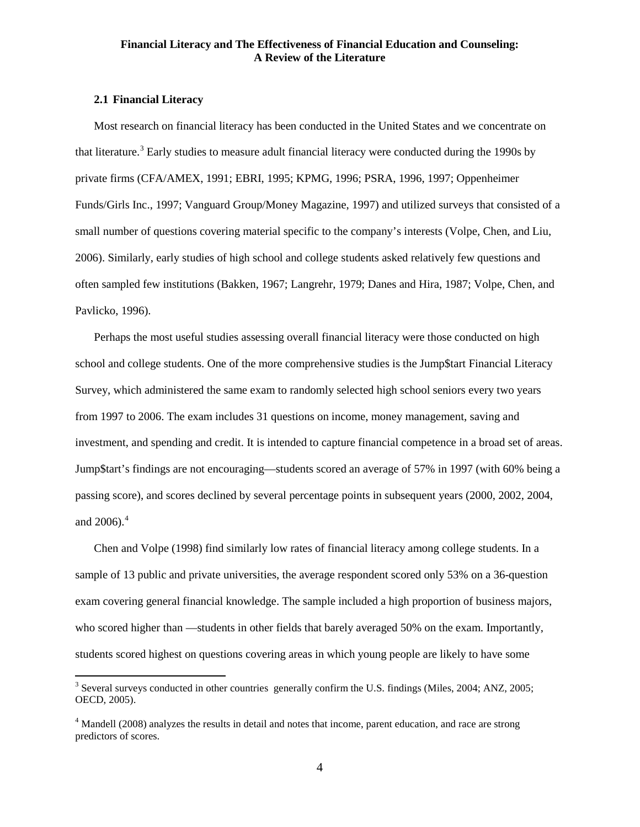#### **2.1 Financial Literacy**

Most research on financial literacy has been conducted in the United States and we concentrate on that literature.<sup>[3](#page-3-0)</sup> Early studies to measure adult financial literacy were conducted during the 1990s by private firms (CFA/AMEX, 1991; EBRI, 1995; KPMG, 1996; PSRA, 1996, 1997; Oppenheimer Funds/Girls Inc., 1997; Vanguard Group/Money Magazine, 1997) and utilized surveys that consisted of a small number of questions covering material specific to the company's interests (Volpe, Chen, and Liu, 2006). Similarly, early studies of high school and college students asked relatively few questions and often sampled few institutions (Bakken, 1967; Langrehr, 1979; Danes and Hira, 1987; Volpe, Chen, and Pavlicko, 1996).

Perhaps the most useful studies assessing overall financial literacy were those conducted on high school and college students. One of the more comprehensive studies is the Jump\$tart Financial Literacy Survey, which administered the same exam to randomly selected high school seniors every two years from 1997 to 2006. The exam includes 31 questions on income, money management, saving and investment, and spending and credit. It is intended to capture financial competence in a broad set of areas. Jump\$tart's findings are not encouraging—students scored an average of 57% in 1997 (with 60% being a passing score), and scores declined by several percentage points in subsequent years (2000, 2002, 2004, and 2006). [4](#page-3-1)

Chen and Volpe (1998) find similarly low rates of financial literacy among college students. In a sample of 13 public and private universities, the average respondent scored only 53% on a 36-question exam covering general financial knowledge. The sample included a high proportion of business majors, who scored higher than —students in other fields that barely averaged 50% on the exam. Importantly, students scored highest on questions covering areas in which young people are likely to have some

<span id="page-3-0"></span><sup>&</sup>lt;sup>3</sup> Several surveys conducted in other countries generally confirm the U.S. findings (Miles, 2004; ANZ, 2005; OECD, 2005).

<span id="page-3-1"></span><sup>&</sup>lt;sup>4</sup> Mandell (2008) analyzes the results in detail and notes that income, parent education, and race are strong predictors of scores.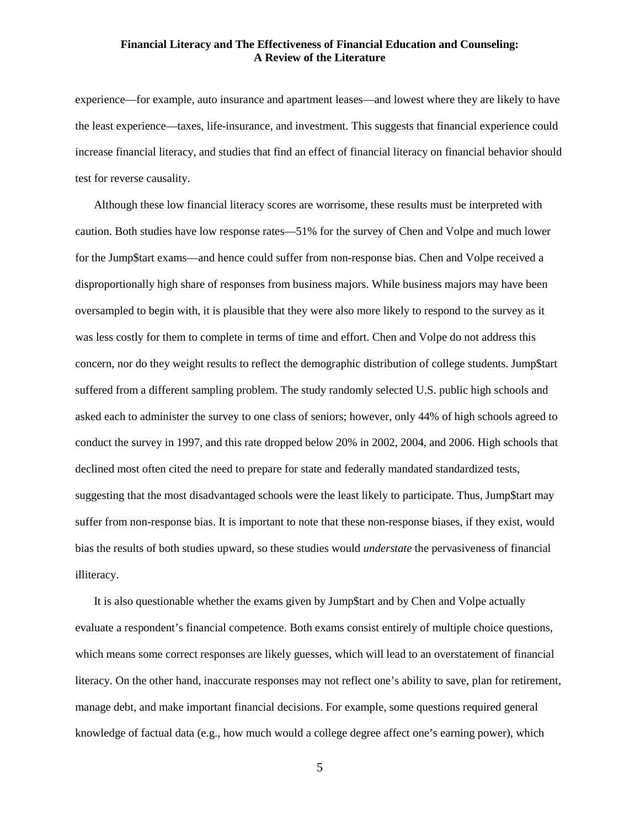experience—for example, auto insurance and apartment leases—and lowest where they are likely to have the least experience—taxes, life-insurance, and investment. This suggests that financial experience could increase financial literacy, and studies that find an effect of financial literacy on financial behavior should test for reverse causality.

Although these low financial literacy scores are worrisome, these results must be interpreted with caution. Both studies have low response rates—51% for the survey of Chen and Volpe and much lower for the Jump\$tart exams—and hence could suffer from non-response bias. Chen and Volpe received a disproportionally high share of responses from business majors. While business majors may have been oversampled to begin with, it is plausible that they were also more likely to respond to the survey as it was less costly for them to complete in terms of time and effort. Chen and Volpe do not address this concern, nor do they weight results to reflect the demographic distribution of college students. Jump\$tart suffered from a different sampling problem. The study randomly selected U.S. public high schools and asked each to administer the survey to one class of seniors; however, only 44% of high schools agreed to conduct the survey in 1997, and this rate dropped below 20% in 2002, 2004, and 2006. High schools that declined most often cited the need to prepare for state and federally mandated standardized tests, suggesting that the most disadvantaged schools were the least likely to participate. Thus, Jump\$tart may suffer from non-response bias. It is important to note that these non-response biases, if they exist, would bias the results of both studies upward, so these studies would *understate* the pervasiveness of financial illiteracy.

It is also questionable whether the exams given by Jump\$tart and by Chen and Volpe actually evaluate a respondent's financial competence. Both exams consist entirely of multiple choice questions, which means some correct responses are likely guesses, which will lead to an overstatement of financial literacy. On the other hand, inaccurate responses may not reflect one's ability to save, plan for retirement, manage debt, and make important financial decisions. For example, some questions required general knowledge of factual data (e.g., how much would a college degree affect one's earning power), which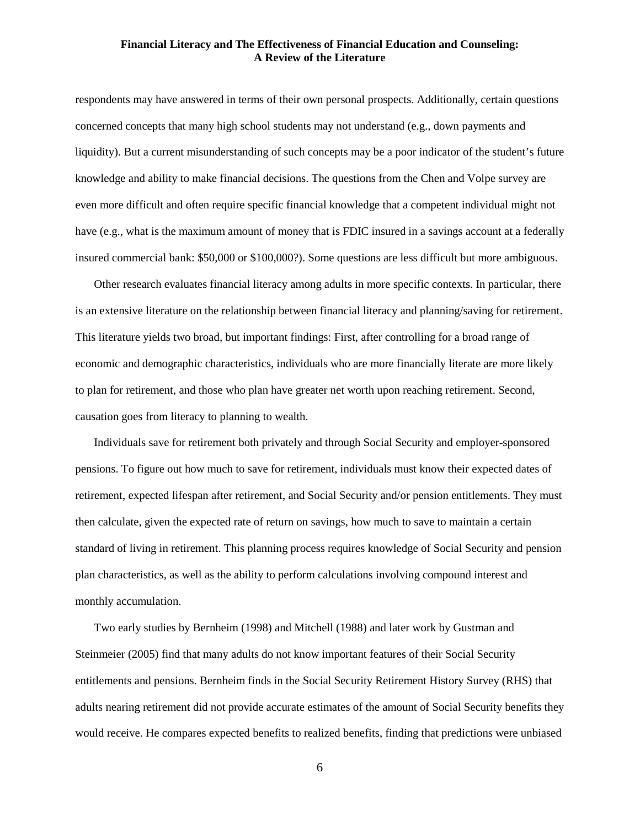respondents may have answered in terms of their own personal prospects. Additionally, certain questions concerned concepts that many high school students may not understand (e.g., down payments and liquidity). But a current misunderstanding of such concepts may be a poor indicator of the student's future knowledge and ability to make financial decisions. The questions from the Chen and Volpe survey are even more difficult and often require specific financial knowledge that a competent individual might not have (e.g., what is the maximum amount of money that is FDIC insured in a savings account at a federally insured commercial bank: \$50,000 or \$100,000?). Some questions are less difficult but more ambiguous.

Other research evaluates financial literacy among adults in more specific contexts. In particular, there is an extensive literature on the relationship between financial literacy and planning/saving for retirement. This literature yields two broad, but important findings: First, after controlling for a broad range of economic and demographic characteristics, individuals who are more financially literate are more likely to plan for retirement, and those who plan have greater net worth upon reaching retirement. Second, causation goes from literacy to planning to wealth.

Individuals save for retirement both privately and through Social Security and employer-sponsored pensions. To figure out how much to save for retirement, individuals must know their expected dates of retirement, expected lifespan after retirement, and Social Security and/or pension entitlements. They must then calculate, given the expected rate of return on savings, how much to save to maintain a certain standard of living in retirement. This planning process requires knowledge of Social Security and pension plan characteristics, as well as the ability to perform calculations involving compound interest and monthly accumulation.

Two early studies by Bernheim (1998) and Mitchell (1988) and later work by Gustman and Steinmeier (2005) find that many adults do not know important features of their Social Security entitlements and pensions. Bernheim finds in the Social Security Retirement History Survey (RHS) that adults nearing retirement did not provide accurate estimates of the amount of Social Security benefits they would receive. He compares expected benefits to realized benefits, finding that predictions were unbiased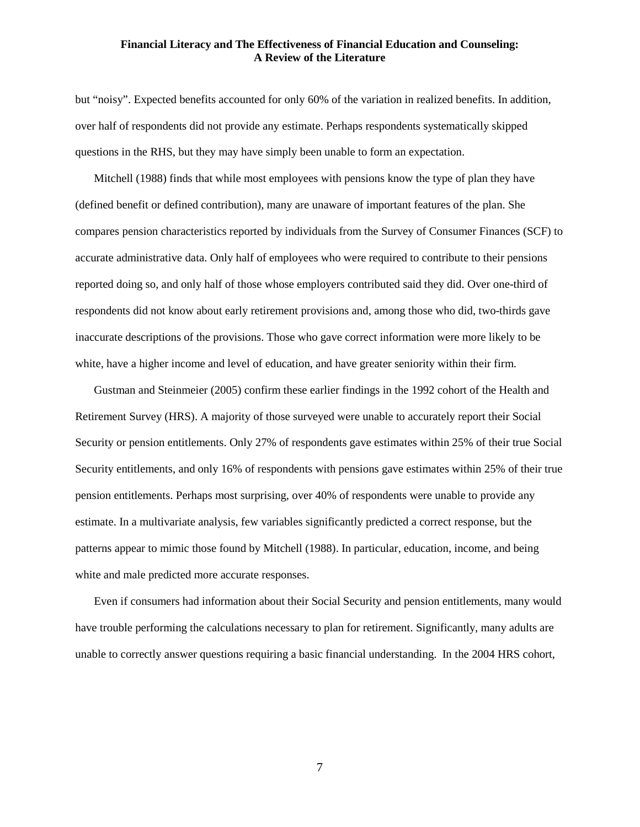but "noisy". Expected benefits accounted for only 60% of the variation in realized benefits. In addition, over half of respondents did not provide any estimate. Perhaps respondents systematically skipped questions in the RHS, but they may have simply been unable to form an expectation.

Mitchell (1988) finds that while most employees with pensions know the type of plan they have (defined benefit or defined contribution), many are unaware of important features of the plan. She compares pension characteristics reported by individuals from the Survey of Consumer Finances (SCF) to accurate administrative data. Only half of employees who were required to contribute to their pensions reported doing so, and only half of those whose employers contributed said they did. Over one-third of respondents did not know about early retirement provisions and, among those who did, two-thirds gave inaccurate descriptions of the provisions. Those who gave correct information were more likely to be white, have a higher income and level of education, and have greater seniority within their firm.

Gustman and Steinmeier (2005) confirm these earlier findings in the 1992 cohort of the Health and Retirement Survey (HRS). A majority of those surveyed were unable to accurately report their Social Security or pension entitlements. Only 27% of respondents gave estimates within 25% of their true Social Security entitlements, and only 16% of respondents with pensions gave estimates within 25% of their true pension entitlements. Perhaps most surprising, over 40% of respondents were unable to provide any estimate. In a multivariate analysis, few variables significantly predicted a correct response, but the patterns appear to mimic those found by Mitchell (1988). In particular, education, income, and being white and male predicted more accurate responses.

Even if consumers had information about their Social Security and pension entitlements, many would have trouble performing the calculations necessary to plan for retirement. Significantly, many adults are unable to correctly answer questions requiring a basic financial understanding. In the 2004 HRS cohort,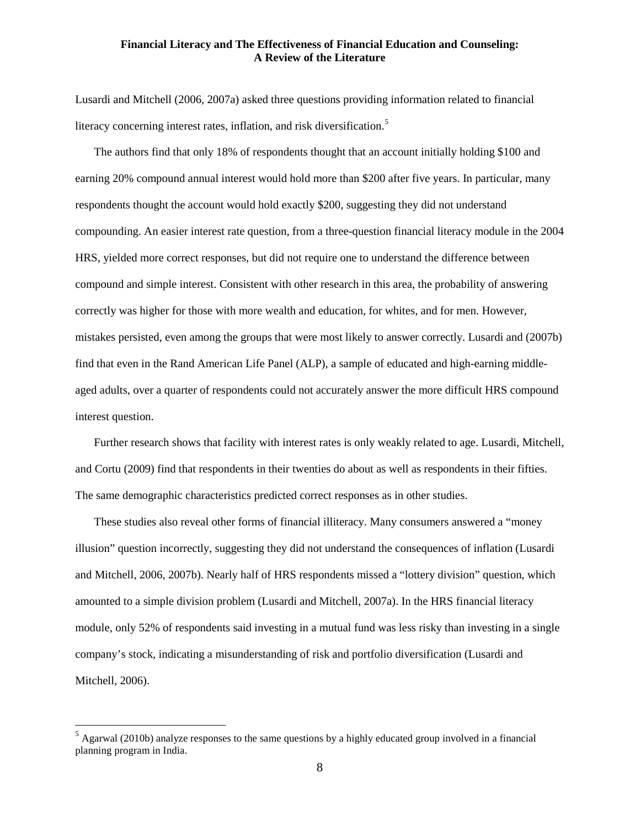Lusardi and Mitchell (2006, 2007a) asked three questions providing information related to financial literacy concerning interest rates, inflation, and risk diversification.<sup>[5](#page-7-0)</sup>

The authors find that only 18% of respondents thought that an account initially holding \$100 and earning 20% compound annual interest would hold more than \$200 after five years. In particular, many respondents thought the account would hold exactly \$200, suggesting they did not understand compounding. An easier interest rate question, from a three-question financial literacy module in the 2004 HRS, yielded more correct responses, but did not require one to understand the difference between compound and simple interest. Consistent with other research in this area, the probability of answering correctly was higher for those with more wealth and education, for whites, and for men. However, mistakes persisted, even among the groups that were most likely to answer correctly. Lusardi and (2007b) find that even in the Rand American Life Panel (ALP), a sample of educated and high-earning middleaged adults, over a quarter of respondents could not accurately answer the more difficult HRS compound interest question.

Further research shows that facility with interest rates is only weakly related to age. Lusardi, Mitchell, and Cortu (2009) find that respondents in their twenties do about as well as respondents in their fifties. The same demographic characteristics predicted correct responses as in other studies.

These studies also reveal other forms of financial illiteracy. Many consumers answered a "money illusion" question incorrectly, suggesting they did not understand the consequences of inflation (Lusardi and Mitchell, 2006, 2007b). Nearly half of HRS respondents missed a "lottery division" question, which amounted to a simple division problem (Lusardi and Mitchell, 2007a). In the HRS financial literacy module, only 52% of respondents said investing in a mutual fund was less risky than investing in a single company's stock, indicating a misunderstanding of risk and portfolio diversification (Lusardi and Mitchell, 2006).

<span id="page-7-0"></span> $<sup>5</sup>$  Agarwal (2010b) analyze responses to the same questions by a highly educated group involved in a financial</sup> planning program in India.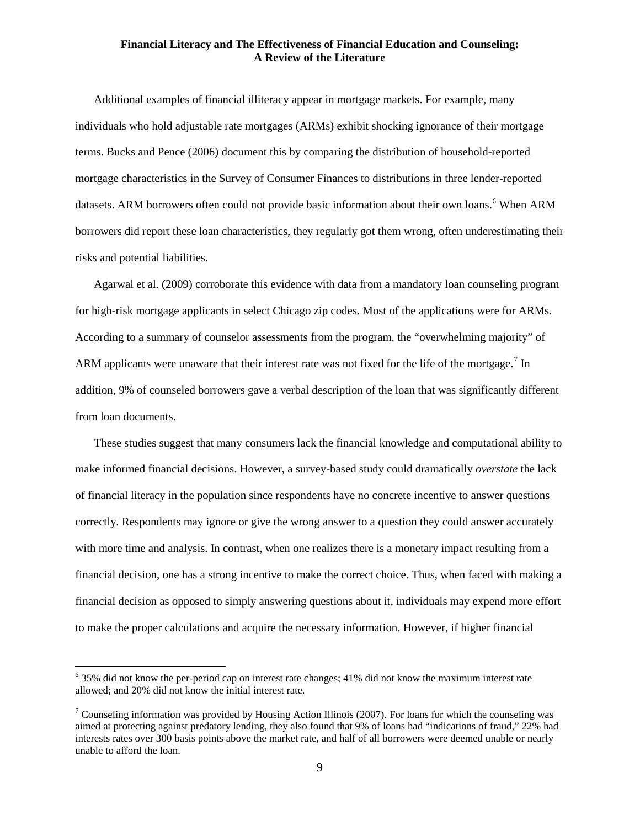Additional examples of financial illiteracy appear in mortgage markets. For example, many individuals who hold adjustable rate mortgages (ARMs) exhibit shocking ignorance of their mortgage terms. Bucks and Pence (2006) document this by comparing the distribution of household-reported mortgage characteristics in the Survey of Consumer Finances to distributions in three lender-reported datasets. ARM borrowers often could not provide basic information about their own loans.<sup>[6](#page-8-0)</sup> When ARM borrowers did report these loan characteristics, they regularly got them wrong, often underestimating their risks and potential liabilities.

Agarwal et al. (2009) corroborate this evidence with data from a mandatory loan counseling program for high-risk mortgage applicants in select Chicago zip codes. Most of the applications were for ARMs. According to a summary of counselor assessments from the program, the "overwhelming majority" of ARM applicants were unaware that their interest rate was not fixed for the life of the mortgage.<sup>[7](#page-8-1)</sup> In addition, 9% of counseled borrowers gave a verbal description of the loan that was significantly different from loan documents.

These studies suggest that many consumers lack the financial knowledge and computational ability to make informed financial decisions. However, a survey-based study could dramatically *overstate* the lack of financial literacy in the population since respondents have no concrete incentive to answer questions correctly. Respondents may ignore or give the wrong answer to a question they could answer accurately with more time and analysis. In contrast, when one realizes there is a monetary impact resulting from a financial decision, one has a strong incentive to make the correct choice. Thus, when faced with making a financial decision as opposed to simply answering questions about it, individuals may expend more effort to make the proper calculations and acquire the necessary information. However, if higher financial

<span id="page-8-0"></span><sup>&</sup>lt;sup>6</sup> 35% did not know the per-period cap on interest rate changes; 41% did not know the maximum interest rate allowed; and 20% did not know the initial interest rate.

<span id="page-8-1"></span> $\frac{7}{1}$  Counseling information was provided by Housing Action Illinois (2007). For loans for which the counseling was aimed at protecting against predatory lending, they also found that 9% of loans had "indications of fraud," 22% had interests rates over 300 basis points above the market rate, and half of all borrowers were deemed unable or nearly unable to afford the loan.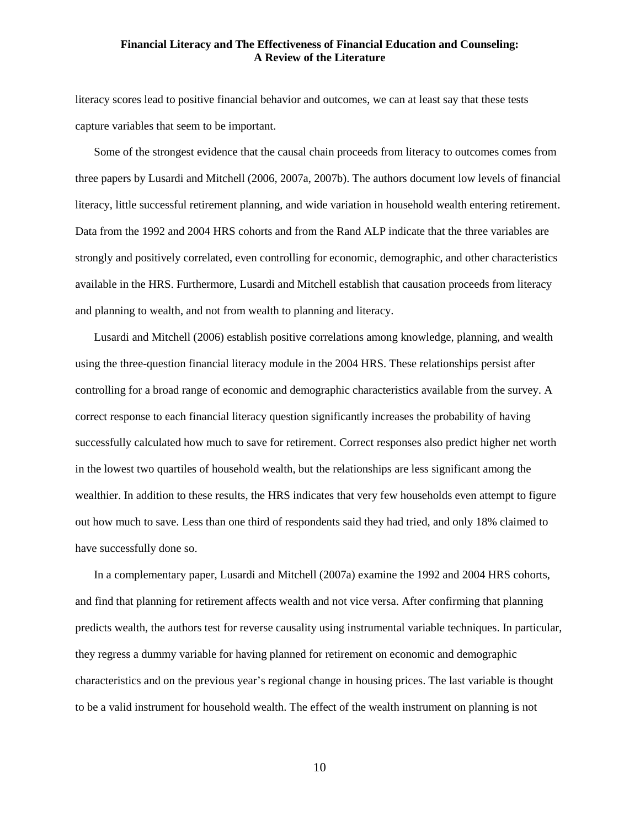literacy scores lead to positive financial behavior and outcomes, we can at least say that these tests capture variables that seem to be important.

Some of the strongest evidence that the causal chain proceeds from literacy to outcomes comes from three papers by Lusardi and Mitchell (2006, 2007a, 2007b). The authors document low levels of financial literacy, little successful retirement planning, and wide variation in household wealth entering retirement. Data from the 1992 and 2004 HRS cohorts and from the Rand ALP indicate that the three variables are strongly and positively correlated, even controlling for economic, demographic, and other characteristics available in the HRS. Furthermore, Lusardi and Mitchell establish that causation proceeds from literacy and planning to wealth, and not from wealth to planning and literacy.

Lusardi and Mitchell (2006) establish positive correlations among knowledge, planning, and wealth using the three-question financial literacy module in the 2004 HRS. These relationships persist after controlling for a broad range of economic and demographic characteristics available from the survey. A correct response to each financial literacy question significantly increases the probability of having successfully calculated how much to save for retirement. Correct responses also predict higher net worth in the lowest two quartiles of household wealth, but the relationships are less significant among the wealthier. In addition to these results, the HRS indicates that very few households even attempt to figure out how much to save. Less than one third of respondents said they had tried, and only 18% claimed to have successfully done so.

In a complementary paper, Lusardi and Mitchell (2007a) examine the 1992 and 2004 HRS cohorts, and find that planning for retirement affects wealth and not vice versa. After confirming that planning predicts wealth, the authors test for reverse causality using instrumental variable techniques. In particular, they regress a dummy variable for having planned for retirement on economic and demographic characteristics and on the previous year's regional change in housing prices. The last variable is thought to be a valid instrument for household wealth. The effect of the wealth instrument on planning is not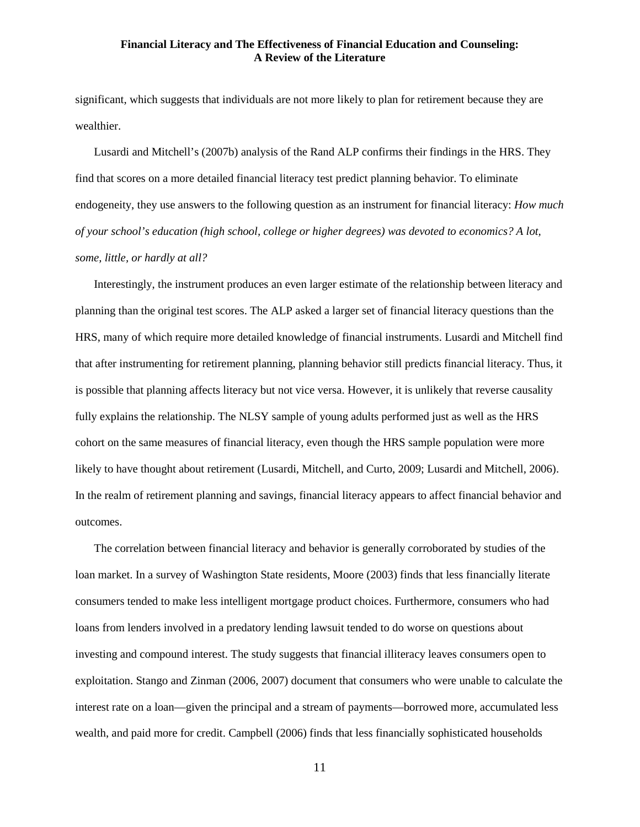significant, which suggests that individuals are not more likely to plan for retirement because they are wealthier.

Lusardi and Mitchell's (2007b) analysis of the Rand ALP confirms their findings in the HRS. They find that scores on a more detailed financial literacy test predict planning behavior. To eliminate endogeneity, they use answers to the following question as an instrument for financial literacy: *How much of your school's education (high school, college or higher degrees) was devoted to economics? A lot, some, little, or hardly at all?*

Interestingly, the instrument produces an even larger estimate of the relationship between literacy and planning than the original test scores. The ALP asked a larger set of financial literacy questions than the HRS, many of which require more detailed knowledge of financial instruments. Lusardi and Mitchell find that after instrumenting for retirement planning, planning behavior still predicts financial literacy. Thus, it is possible that planning affects literacy but not vice versa. However, it is unlikely that reverse causality fully explains the relationship. The NLSY sample of young adults performed just as well as the HRS cohort on the same measures of financial literacy, even though the HRS sample population were more likely to have thought about retirement (Lusardi, Mitchell, and Curto, 2009; Lusardi and Mitchell, 2006). In the realm of retirement planning and savings, financial literacy appears to affect financial behavior and outcomes.

The correlation between financial literacy and behavior is generally corroborated by studies of the loan market. In a survey of Washington State residents, Moore (2003) finds that less financially literate consumers tended to make less intelligent mortgage product choices. Furthermore, consumers who had loans from lenders involved in a predatory lending lawsuit tended to do worse on questions about investing and compound interest. The study suggests that financial illiteracy leaves consumers open to exploitation. Stango and Zinman (2006, 2007) document that consumers who were unable to calculate the interest rate on a loan—given the principal and a stream of payments—borrowed more, accumulated less wealth, and paid more for credit. Campbell (2006) finds that less financially sophisticated households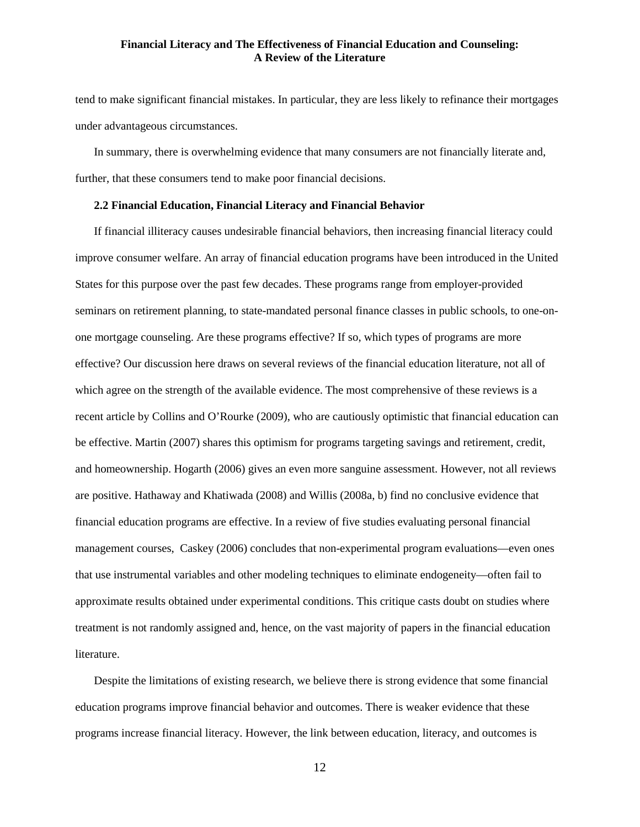tend to make significant financial mistakes. In particular, they are less likely to refinance their mortgages under advantageous circumstances.

In summary, there is overwhelming evidence that many consumers are not financially literate and, further, that these consumers tend to make poor financial decisions.

#### **2.2 Financial Education, Financial Literacy and Financial Behavior**

If financial illiteracy causes undesirable financial behaviors, then increasing financial literacy could improve consumer welfare. An array of financial education programs have been introduced in the United States for this purpose over the past few decades. These programs range from employer-provided seminars on retirement planning, to state-mandated personal finance classes in public schools, to one-onone mortgage counseling. Are these programs effective? If so, which types of programs are more effective? Our discussion here draws on several reviews of the financial education literature, not all of which agree on the strength of the available evidence. The most comprehensive of these reviews is a recent article by Collins and O'Rourke (2009), who are cautiously optimistic that financial education can be effective. Martin (2007) shares this optimism for programs targeting savings and retirement, credit, and homeownership. Hogarth (2006) gives an even more sanguine assessment. However, not all reviews are positive. Hathaway and Khatiwada (2008) and Willis (2008a, b) find no conclusive evidence that financial education programs are effective. In a review of five studies evaluating personal financial management courses, Caskey (2006) concludes that non-experimental program evaluations—even ones that use instrumental variables and other modeling techniques to eliminate endogeneity—often fail to approximate results obtained under experimental conditions. This critique casts doubt on studies where treatment is not randomly assigned and, hence, on the vast majority of papers in the financial education literature.

Despite the limitations of existing research, we believe there is strong evidence that some financial education programs improve financial behavior and outcomes. There is weaker evidence that these programs increase financial literacy. However, the link between education, literacy, and outcomes is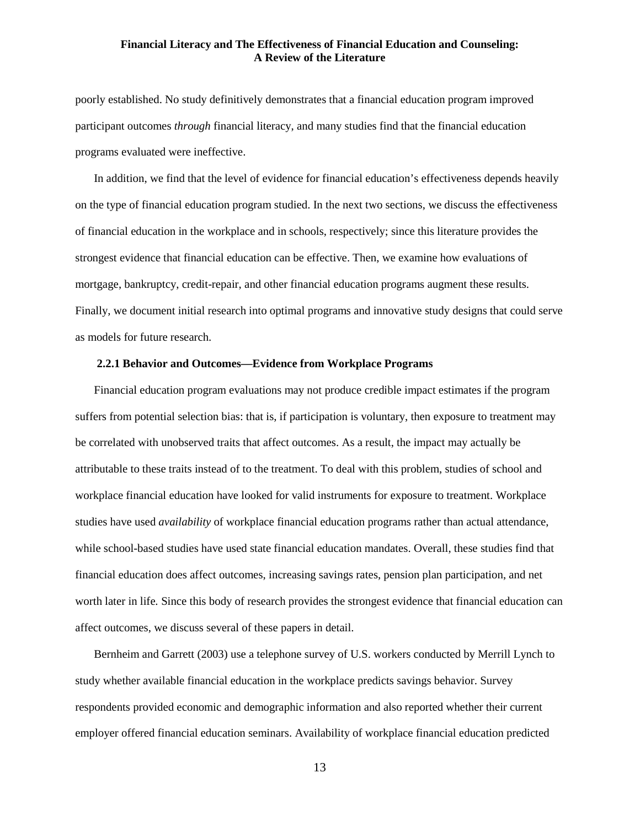poorly established. No study definitively demonstrates that a financial education program improved participant outcomes *through* financial literacy, and many studies find that the financial education programs evaluated were ineffective.

In addition, we find that the level of evidence for financial education's effectiveness depends heavily on the type of financial education program studied. In the next two sections, we discuss the effectiveness of financial education in the workplace and in schools, respectively; since this literature provides the strongest evidence that financial education can be effective. Then, we examine how evaluations of mortgage, bankruptcy, credit-repair, and other financial education programs augment these results. Finally, we document initial research into optimal programs and innovative study designs that could serve as models for future research.

#### **2.2.1 Behavior and Outcomes—Evidence from Workplace Programs**

Financial education program evaluations may not produce credible impact estimates if the program suffers from potential selection bias: that is, if participation is voluntary, then exposure to treatment may be correlated with unobserved traits that affect outcomes. As a result, the impact may actually be attributable to these traits instead of to the treatment. To deal with this problem, studies of school and workplace financial education have looked for valid instruments for exposure to treatment. Workplace studies have used *availability* of workplace financial education programs rather than actual attendance, while school-based studies have used state financial education mandates. Overall, these studies find that financial education does affect outcomes, increasing savings rates, pension plan participation, and net worth later in life*.* Since this body of research provides the strongest evidence that financial education can affect outcomes, we discuss several of these papers in detail.

Bernheim and Garrett (2003) use a telephone survey of U.S. workers conducted by Merrill Lynch to study whether available financial education in the workplace predicts savings behavior. Survey respondents provided economic and demographic information and also reported whether their current employer offered financial education seminars. Availability of workplace financial education predicted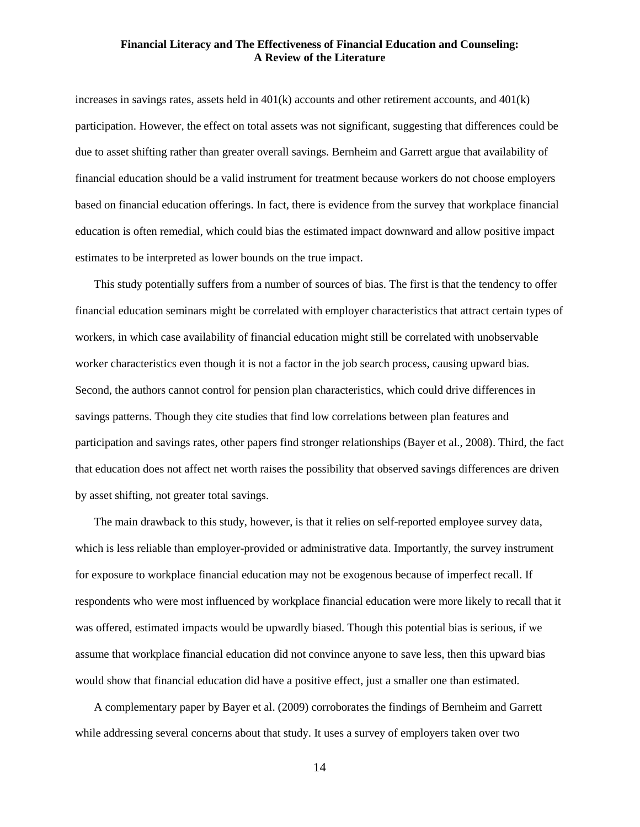increases in savings rates, assets held in 401(k) accounts and other retirement accounts, and 401(k) participation. However, the effect on total assets was not significant, suggesting that differences could be due to asset shifting rather than greater overall savings. Bernheim and Garrett argue that availability of financial education should be a valid instrument for treatment because workers do not choose employers based on financial education offerings. In fact, there is evidence from the survey that workplace financial education is often remedial, which could bias the estimated impact downward and allow positive impact estimates to be interpreted as lower bounds on the true impact.

This study potentially suffers from a number of sources of bias. The first is that the tendency to offer financial education seminars might be correlated with employer characteristics that attract certain types of workers, in which case availability of financial education might still be correlated with unobservable worker characteristics even though it is not a factor in the job search process, causing upward bias. Second, the authors cannot control for pension plan characteristics, which could drive differences in savings patterns. Though they cite studies that find low correlations between plan features and participation and savings rates, other papers find stronger relationships (Bayer et al., 2008). Third, the fact that education does not affect net worth raises the possibility that observed savings differences are driven by asset shifting, not greater total savings.

The main drawback to this study, however, is that it relies on self-reported employee survey data, which is less reliable than employer-provided or administrative data. Importantly, the survey instrument for exposure to workplace financial education may not be exogenous because of imperfect recall. If respondents who were most influenced by workplace financial education were more likely to recall that it was offered, estimated impacts would be upwardly biased. Though this potential bias is serious, if we assume that workplace financial education did not convince anyone to save less, then this upward bias would show that financial education did have a positive effect, just a smaller one than estimated.

A complementary paper by Bayer et al. (2009) corroborates the findings of Bernheim and Garrett while addressing several concerns about that study. It uses a survey of employers taken over two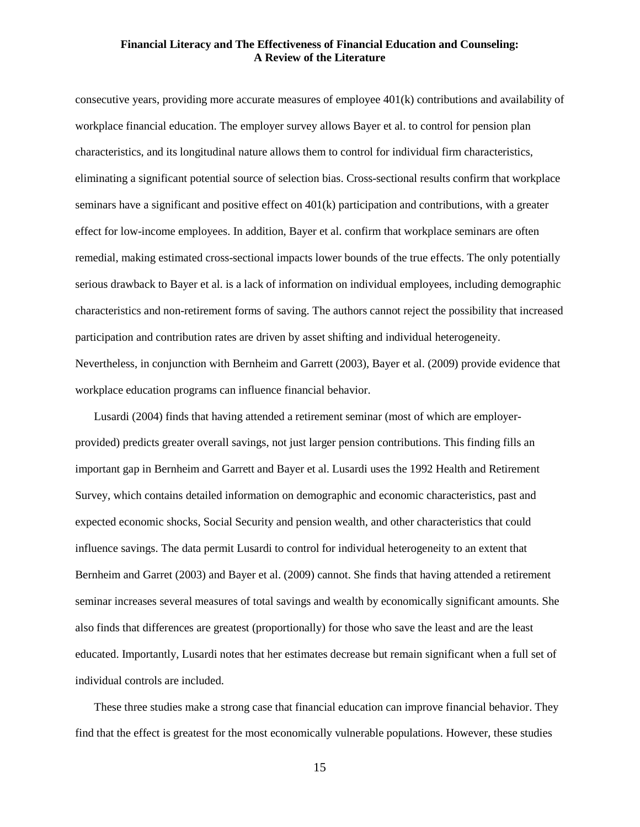consecutive years, providing more accurate measures of employee 401(k) contributions and availability of workplace financial education. The employer survey allows Bayer et al. to control for pension plan characteristics, and its longitudinal nature allows them to control for individual firm characteristics, eliminating a significant potential source of selection bias. Cross-sectional results confirm that workplace seminars have a significant and positive effect on 401(k) participation and contributions, with a greater effect for low-income employees. In addition, Bayer et al. confirm that workplace seminars are often remedial, making estimated cross-sectional impacts lower bounds of the true effects. The only potentially serious drawback to Bayer et al. is a lack of information on individual employees, including demographic characteristics and non-retirement forms of saving. The authors cannot reject the possibility that increased participation and contribution rates are driven by asset shifting and individual heterogeneity. Nevertheless, in conjunction with Bernheim and Garrett (2003), Bayer et al. (2009) provide evidence that workplace education programs can influence financial behavior.

Lusardi (2004) finds that having attended a retirement seminar (most of which are employerprovided) predicts greater overall savings, not just larger pension contributions. This finding fills an important gap in Bernheim and Garrett and Bayer et al. Lusardi uses the 1992 Health and Retirement Survey, which contains detailed information on demographic and economic characteristics, past and expected economic shocks, Social Security and pension wealth, and other characteristics that could influence savings. The data permit Lusardi to control for individual heterogeneity to an extent that Bernheim and Garret (2003) and Bayer et al. (2009) cannot. She finds that having attended a retirement seminar increases several measures of total savings and wealth by economically significant amounts. She also finds that differences are greatest (proportionally) for those who save the least and are the least educated. Importantly, Lusardi notes that her estimates decrease but remain significant when a full set of individual controls are included.

These three studies make a strong case that financial education can improve financial behavior. They find that the effect is greatest for the most economically vulnerable populations. However, these studies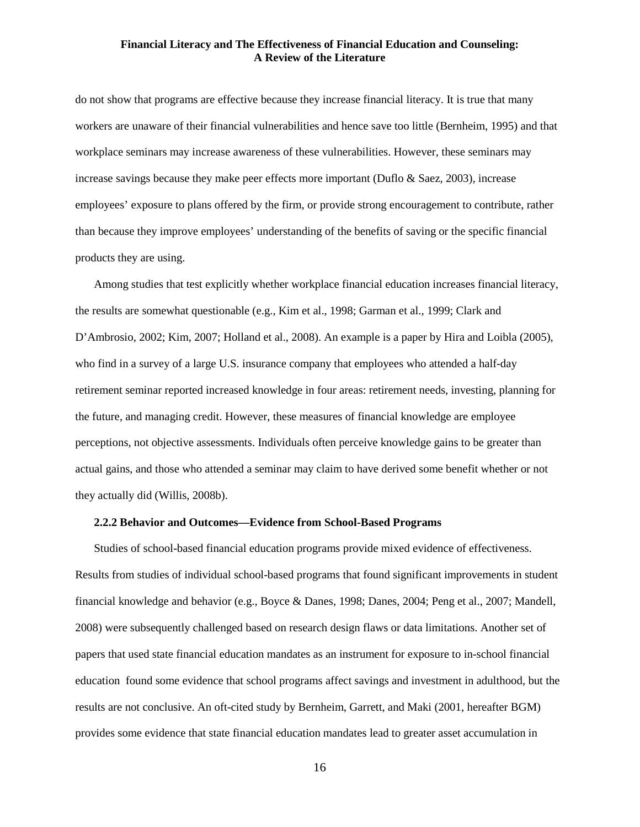do not show that programs are effective because they increase financial literacy. It is true that many workers are unaware of their financial vulnerabilities and hence save too little (Bernheim, 1995) and that workplace seminars may increase awareness of these vulnerabilities. However, these seminars may increase savings because they make peer effects more important (Duflo & Saez, 2003), increase employees' exposure to plans offered by the firm, or provide strong encouragement to contribute, rather than because they improve employees' understanding of the benefits of saving or the specific financial products they are using.

Among studies that test explicitly whether workplace financial education increases financial literacy, the results are somewhat questionable (e.g., Kim et al., 1998; Garman et al., 1999; Clark and D'Ambrosio, 2002; Kim, 2007; Holland et al., 2008). An example is a paper by Hira and Loibla (2005), who find in a survey of a large U.S. insurance company that employees who attended a half-day retirement seminar reported increased knowledge in four areas: retirement needs, investing, planning for the future, and managing credit. However, these measures of financial knowledge are employee perceptions, not objective assessments. Individuals often perceive knowledge gains to be greater than actual gains, and those who attended a seminar may claim to have derived some benefit whether or not they actually did (Willis, 2008b).

#### **2.2.2 Behavior and Outcomes—Evidence from School-Based Programs**

Studies of school-based financial education programs provide mixed evidence of effectiveness. Results from studies of individual school-based programs that found significant improvements in student financial knowledge and behavior (e.g., Boyce & Danes, 1998; Danes, 2004; Peng et al., 2007; Mandell, 2008) were subsequently challenged based on research design flaws or data limitations. Another set of papers that used state financial education mandates as an instrument for exposure to in-school financial education found some evidence that school programs affect savings and investment in adulthood, but the results are not conclusive. An oft-cited study by Bernheim, Garrett, and Maki (2001, hereafter BGM) provides some evidence that state financial education mandates lead to greater asset accumulation in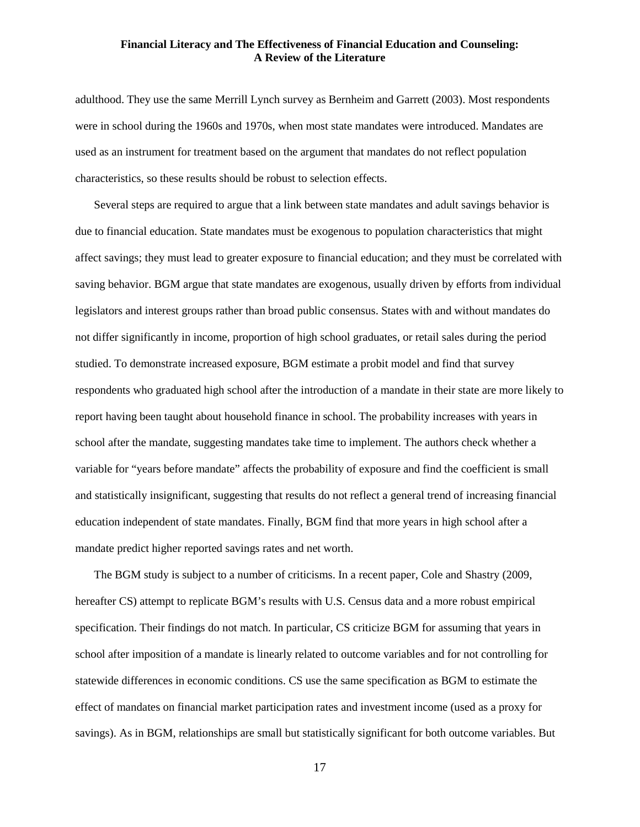adulthood. They use the same Merrill Lynch survey as Bernheim and Garrett (2003). Most respondents were in school during the 1960s and 1970s, when most state mandates were introduced. Mandates are used as an instrument for treatment based on the argument that mandates do not reflect population characteristics, so these results should be robust to selection effects.

Several steps are required to argue that a link between state mandates and adult savings behavior is due to financial education. State mandates must be exogenous to population characteristics that might affect savings; they must lead to greater exposure to financial education; and they must be correlated with saving behavior. BGM argue that state mandates are exogenous, usually driven by efforts from individual legislators and interest groups rather than broad public consensus. States with and without mandates do not differ significantly in income, proportion of high school graduates, or retail sales during the period studied. To demonstrate increased exposure, BGM estimate a probit model and find that survey respondents who graduated high school after the introduction of a mandate in their state are more likely to report having been taught about household finance in school. The probability increases with years in school after the mandate, suggesting mandates take time to implement. The authors check whether a variable for "years before mandate" affects the probability of exposure and find the coefficient is small and statistically insignificant, suggesting that results do not reflect a general trend of increasing financial education independent of state mandates. Finally, BGM find that more years in high school after a mandate predict higher reported savings rates and net worth.

The BGM study is subject to a number of criticisms. In a recent paper, Cole and Shastry (2009, hereafter CS) attempt to replicate BGM's results with U.S. Census data and a more robust empirical specification. Their findings do not match. In particular, CS criticize BGM for assuming that years in school after imposition of a mandate is linearly related to outcome variables and for not controlling for statewide differences in economic conditions. CS use the same specification as BGM to estimate the effect of mandates on financial market participation rates and investment income (used as a proxy for savings). As in BGM, relationships are small but statistically significant for both outcome variables. But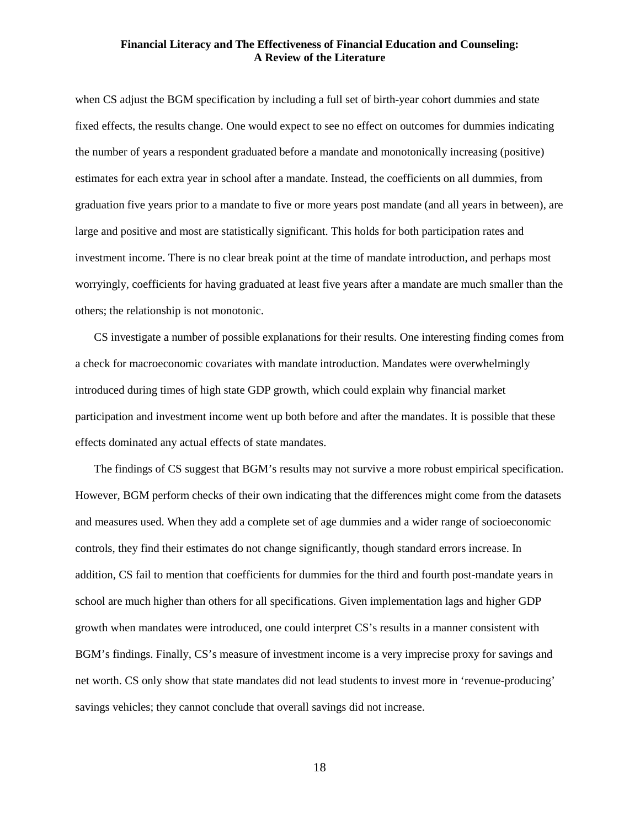when CS adjust the BGM specification by including a full set of birth-year cohort dummies and state fixed effects, the results change. One would expect to see no effect on outcomes for dummies indicating the number of years a respondent graduated before a mandate and monotonically increasing (positive) estimates for each extra year in school after a mandate. Instead, the coefficients on all dummies, from graduation five years prior to a mandate to five or more years post mandate (and all years in between), are large and positive and most are statistically significant. This holds for both participation rates and investment income. There is no clear break point at the time of mandate introduction, and perhaps most worryingly, coefficients for having graduated at least five years after a mandate are much smaller than the others; the relationship is not monotonic.

CS investigate a number of possible explanations for their results. One interesting finding comes from a check for macroeconomic covariates with mandate introduction. Mandates were overwhelmingly introduced during times of high state GDP growth, which could explain why financial market participation and investment income went up both before and after the mandates. It is possible that these effects dominated any actual effects of state mandates.

The findings of CS suggest that BGM's results may not survive a more robust empirical specification. However, BGM perform checks of their own indicating that the differences might come from the datasets and measures used. When they add a complete set of age dummies and a wider range of socioeconomic controls, they find their estimates do not change significantly, though standard errors increase. In addition, CS fail to mention that coefficients for dummies for the third and fourth post-mandate years in school are much higher than others for all specifications. Given implementation lags and higher GDP growth when mandates were introduced, one could interpret CS's results in a manner consistent with BGM's findings. Finally, CS's measure of investment income is a very imprecise proxy for savings and net worth. CS only show that state mandates did not lead students to invest more in 'revenue-producing' savings vehicles; they cannot conclude that overall savings did not increase.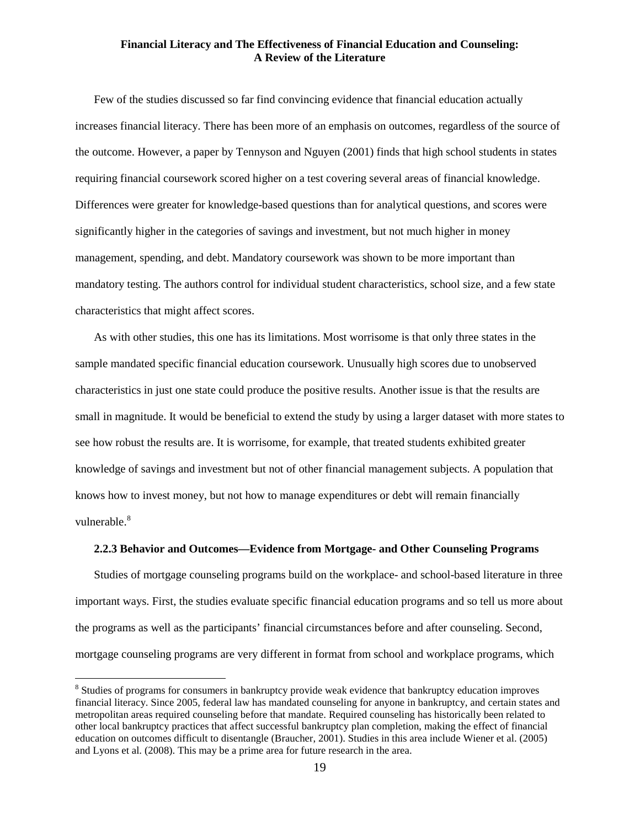Few of the studies discussed so far find convincing evidence that financial education actually increases financial literacy. There has been more of an emphasis on outcomes, regardless of the source of the outcome. However, a paper by Tennyson and Nguyen (2001) finds that high school students in states requiring financial coursework scored higher on a test covering several areas of financial knowledge. Differences were greater for knowledge-based questions than for analytical questions, and scores were significantly higher in the categories of savings and investment, but not much higher in money management, spending, and debt. Mandatory coursework was shown to be more important than mandatory testing. The authors control for individual student characteristics, school size, and a few state characteristics that might affect scores.

As with other studies, this one has its limitations. Most worrisome is that only three states in the sample mandated specific financial education coursework. Unusually high scores due to unobserved characteristics in just one state could produce the positive results. Another issue is that the results are small in magnitude. It would be beneficial to extend the study by using a larger dataset with more states to see how robust the results are. It is worrisome, for example, that treated students exhibited greater knowledge of savings and investment but not of other financial management subjects. A population that knows how to invest money, but not how to manage expenditures or debt will remain financially vulnerable.<sup>[8](#page-18-0)</sup>

#### **2.2.3 Behavior and Outcomes—Evidence from Mortgage- and Other Counseling Programs**

Studies of mortgage counseling programs build on the workplace- and school-based literature in three important ways. First, the studies evaluate specific financial education programs and so tell us more about the programs as well as the participants' financial circumstances before and after counseling. Second, mortgage counseling programs are very different in format from school and workplace programs, which

<span id="page-18-0"></span><sup>&</sup>lt;sup>8</sup> Studies of programs for consumers in bankruptcy provide weak evidence that bankruptcy education improves financial literacy. Since 2005, federal law has mandated counseling for anyone in bankruptcy, and certain states and metropolitan areas required counseling before that mandate. Required counseling has historically been related to other local bankruptcy practices that affect successful bankruptcy plan completion, making the effect of financial education on outcomes difficult to disentangle (Braucher, 2001). Studies in this area include Wiener et al. (2005) and Lyons et al. (2008). This may be a prime area for future research in the area.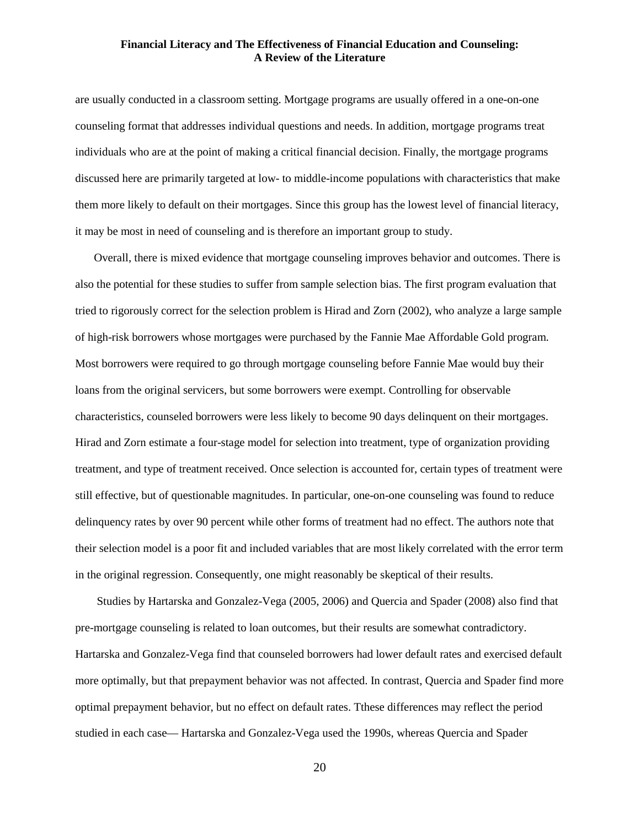are usually conducted in a classroom setting. Mortgage programs are usually offered in a one-on-one counseling format that addresses individual questions and needs. In addition, mortgage programs treat individuals who are at the point of making a critical financial decision. Finally, the mortgage programs discussed here are primarily targeted at low- to middle-income populations with characteristics that make them more likely to default on their mortgages. Since this group has the lowest level of financial literacy, it may be most in need of counseling and is therefore an important group to study.

Overall, there is mixed evidence that mortgage counseling improves behavior and outcomes. There is also the potential for these studies to suffer from sample selection bias. The first program evaluation that tried to rigorously correct for the selection problem is Hirad and Zorn (2002), who analyze a large sample of high-risk borrowers whose mortgages were purchased by the Fannie Mae Affordable Gold program. Most borrowers were required to go through mortgage counseling before Fannie Mae would buy their loans from the original servicers, but some borrowers were exempt. Controlling for observable characteristics, counseled borrowers were less likely to become 90 days delinquent on their mortgages. Hirad and Zorn estimate a four-stage model for selection into treatment, type of organization providing treatment, and type of treatment received. Once selection is accounted for, certain types of treatment were still effective, but of questionable magnitudes. In particular, one-on-one counseling was found to reduce delinquency rates by over 90 percent while other forms of treatment had no effect. The authors note that their selection model is a poor fit and included variables that are most likely correlated with the error term in the original regression. Consequently, one might reasonably be skeptical of their results.

Studies by Hartarska and Gonzalez-Vega (2005, 2006) and Quercia and Spader (2008) also find that pre-mortgage counseling is related to loan outcomes, but their results are somewhat contradictory. Hartarska and Gonzalez-Vega find that counseled borrowers had lower default rates and exercised default more optimally, but that prepayment behavior was not affected. In contrast, Quercia and Spader find more optimal prepayment behavior, but no effect on default rates. Tthese differences may reflect the period studied in each case— Hartarska and Gonzalez-Vega used the 1990s, whereas Quercia and Spader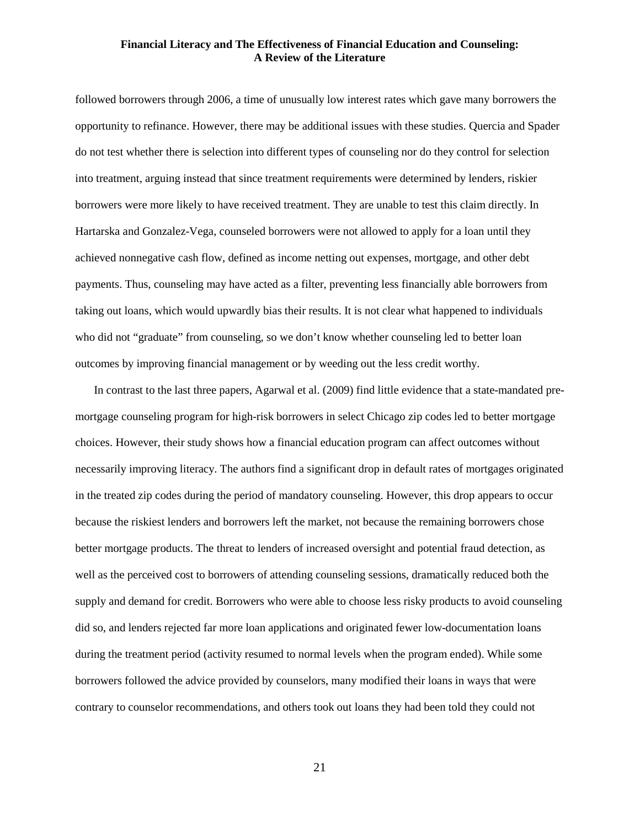followed borrowers through 2006, a time of unusually low interest rates which gave many borrowers the opportunity to refinance. However, there may be additional issues with these studies. Quercia and Spader do not test whether there is selection into different types of counseling nor do they control for selection into treatment, arguing instead that since treatment requirements were determined by lenders, riskier borrowers were more likely to have received treatment. They are unable to test this claim directly. In Hartarska and Gonzalez-Vega, counseled borrowers were not allowed to apply for a loan until they achieved nonnegative cash flow, defined as income netting out expenses, mortgage, and other debt payments. Thus, counseling may have acted as a filter, preventing less financially able borrowers from taking out loans, which would upwardly bias their results. It is not clear what happened to individuals who did not "graduate" from counseling, so we don't know whether counseling led to better loan outcomes by improving financial management or by weeding out the less credit worthy.

In contrast to the last three papers, Agarwal et al. (2009) find little evidence that a state-mandated premortgage counseling program for high-risk borrowers in select Chicago zip codes led to better mortgage choices. However, their study shows how a financial education program can affect outcomes without necessarily improving literacy. The authors find a significant drop in default rates of mortgages originated in the treated zip codes during the period of mandatory counseling. However, this drop appears to occur because the riskiest lenders and borrowers left the market, not because the remaining borrowers chose better mortgage products. The threat to lenders of increased oversight and potential fraud detection, as well as the perceived cost to borrowers of attending counseling sessions, dramatically reduced both the supply and demand for credit. Borrowers who were able to choose less risky products to avoid counseling did so, and lenders rejected far more loan applications and originated fewer low-documentation loans during the treatment period (activity resumed to normal levels when the program ended). While some borrowers followed the advice provided by counselors, many modified their loans in ways that were contrary to counselor recommendations, and others took out loans they had been told they could not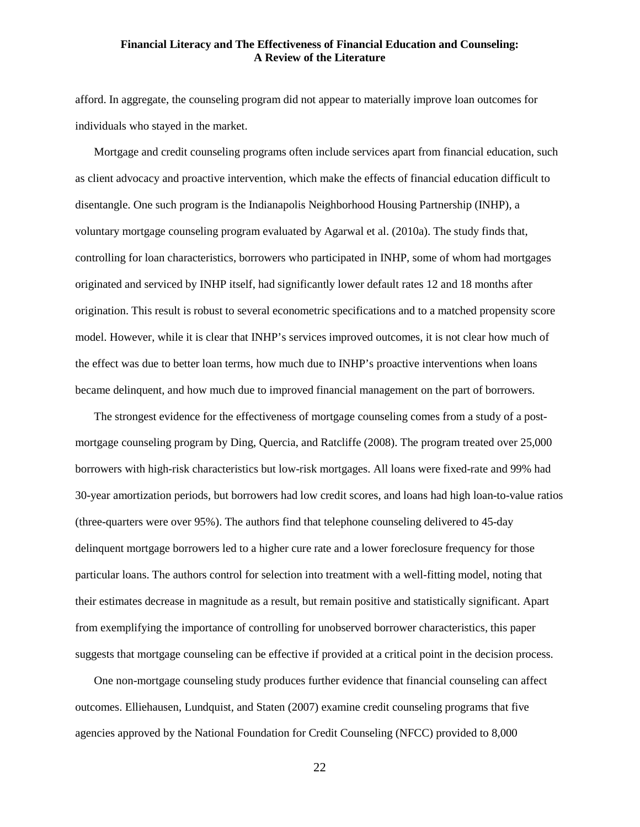afford. In aggregate, the counseling program did not appear to materially improve loan outcomes for individuals who stayed in the market.

Mortgage and credit counseling programs often include services apart from financial education, such as client advocacy and proactive intervention, which make the effects of financial education difficult to disentangle. One such program is the Indianapolis Neighborhood Housing Partnership (INHP), a voluntary mortgage counseling program evaluated by Agarwal et al. (2010a). The study finds that, controlling for loan characteristics, borrowers who participated in INHP, some of whom had mortgages originated and serviced by INHP itself, had significantly lower default rates 12 and 18 months after origination. This result is robust to several econometric specifications and to a matched propensity score model. However, while it is clear that INHP's services improved outcomes, it is not clear how much of the effect was due to better loan terms, how much due to INHP's proactive interventions when loans became delinquent, and how much due to improved financial management on the part of borrowers.

The strongest evidence for the effectiveness of mortgage counseling comes from a study of a postmortgage counseling program by Ding, Quercia, and Ratcliffe (2008). The program treated over 25,000 borrowers with high-risk characteristics but low-risk mortgages. All loans were fixed-rate and 99% had 30-year amortization periods, but borrowers had low credit scores, and loans had high loan-to-value ratios (three-quarters were over 95%). The authors find that telephone counseling delivered to 45-day delinquent mortgage borrowers led to a higher cure rate and a lower foreclosure frequency for those particular loans. The authors control for selection into treatment with a well-fitting model, noting that their estimates decrease in magnitude as a result, but remain positive and statistically significant. Apart from exemplifying the importance of controlling for unobserved borrower characteristics, this paper suggests that mortgage counseling can be effective if provided at a critical point in the decision process.

One non-mortgage counseling study produces further evidence that financial counseling can affect outcomes. Elliehausen, Lundquist, and Staten (2007) examine credit counseling programs that five agencies approved by the National Foundation for Credit Counseling (NFCC) provided to 8,000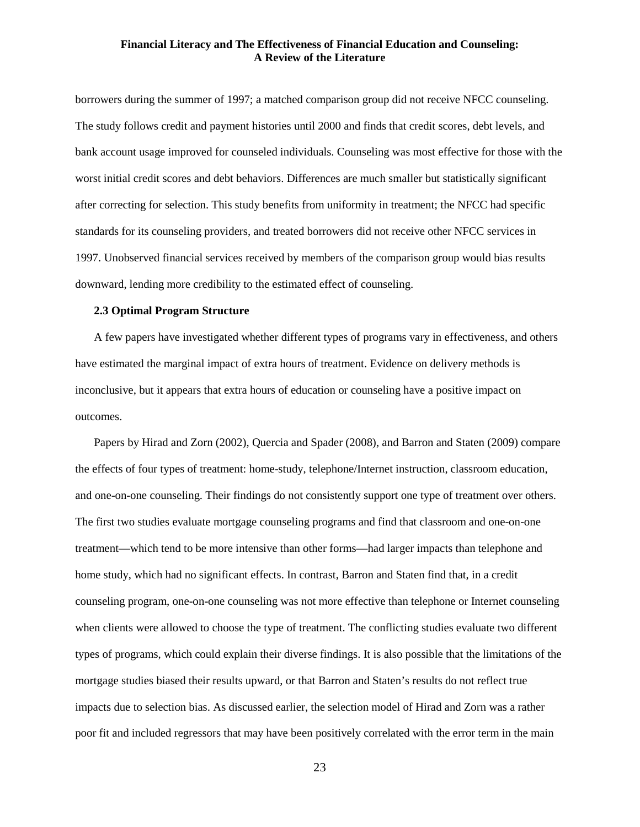borrowers during the summer of 1997; a matched comparison group did not receive NFCC counseling. The study follows credit and payment histories until 2000 and finds that credit scores, debt levels, and bank account usage improved for counseled individuals. Counseling was most effective for those with the worst initial credit scores and debt behaviors. Differences are much smaller but statistically significant after correcting for selection. This study benefits from uniformity in treatment; the NFCC had specific standards for its counseling providers, and treated borrowers did not receive other NFCC services in 1997. Unobserved financial services received by members of the comparison group would bias results downward, lending more credibility to the estimated effect of counseling.

## **2.3 Optimal Program Structure**

A few papers have investigated whether different types of programs vary in effectiveness, and others have estimated the marginal impact of extra hours of treatment. Evidence on delivery methods is inconclusive, but it appears that extra hours of education or counseling have a positive impact on outcomes.

Papers by Hirad and Zorn (2002), Quercia and Spader (2008), and Barron and Staten (2009) compare the effects of four types of treatment: home-study, telephone/Internet instruction, classroom education, and one-on-one counseling. Their findings do not consistently support one type of treatment over others. The first two studies evaluate mortgage counseling programs and find that classroom and one-on-one treatment—which tend to be more intensive than other forms—had larger impacts than telephone and home study, which had no significant effects. In contrast, Barron and Staten find that, in a credit counseling program, one-on-one counseling was not more effective than telephone or Internet counseling when clients were allowed to choose the type of treatment. The conflicting studies evaluate two different types of programs, which could explain their diverse findings. It is also possible that the limitations of the mortgage studies biased their results upward, or that Barron and Staten's results do not reflect true impacts due to selection bias. As discussed earlier, the selection model of Hirad and Zorn was a rather poor fit and included regressors that may have been positively correlated with the error term in the main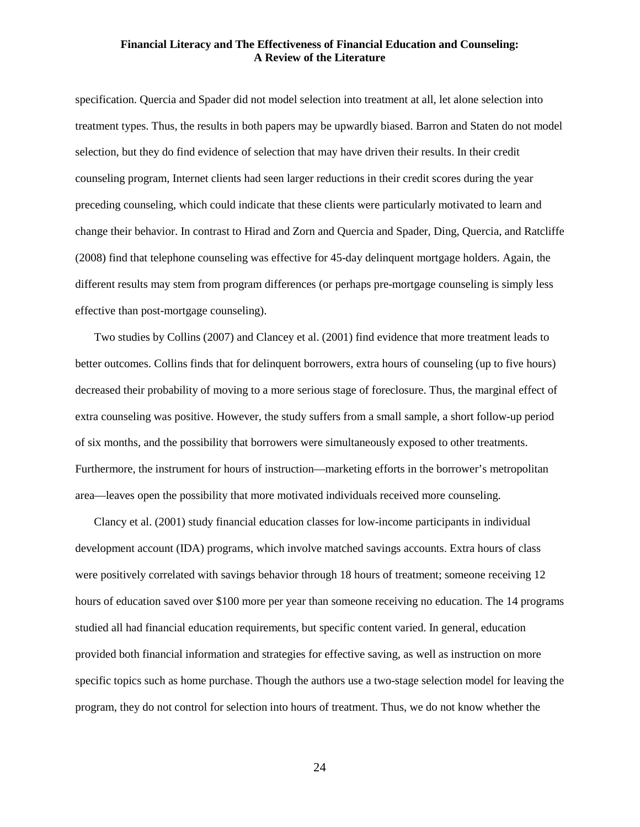specification. Quercia and Spader did not model selection into treatment at all, let alone selection into treatment types. Thus, the results in both papers may be upwardly biased. Barron and Staten do not model selection, but they do find evidence of selection that may have driven their results. In their credit counseling program, Internet clients had seen larger reductions in their credit scores during the year preceding counseling, which could indicate that these clients were particularly motivated to learn and change their behavior. In contrast to Hirad and Zorn and Quercia and Spader, Ding, Quercia, and Ratcliffe (2008) find that telephone counseling was effective for 45-day delinquent mortgage holders. Again, the different results may stem from program differences (or perhaps pre-mortgage counseling is simply less effective than post-mortgage counseling).

Two studies by Collins (2007) and Clancey et al. (2001) find evidence that more treatment leads to better outcomes. Collins finds that for delinquent borrowers, extra hours of counseling (up to five hours) decreased their probability of moving to a more serious stage of foreclosure. Thus, the marginal effect of extra counseling was positive. However, the study suffers from a small sample, a short follow-up period of six months, and the possibility that borrowers were simultaneously exposed to other treatments. Furthermore, the instrument for hours of instruction—marketing efforts in the borrower's metropolitan area—leaves open the possibility that more motivated individuals received more counseling.

Clancy et al. (2001) study financial education classes for low-income participants in individual development account (IDA) programs, which involve matched savings accounts. Extra hours of class were positively correlated with savings behavior through 18 hours of treatment; someone receiving 12 hours of education saved over \$100 more per year than someone receiving no education. The 14 programs studied all had financial education requirements, but specific content varied. In general, education provided both financial information and strategies for effective saving, as well as instruction on more specific topics such as home purchase. Though the authors use a two-stage selection model for leaving the program, they do not control for selection into hours of treatment. Thus, we do not know whether the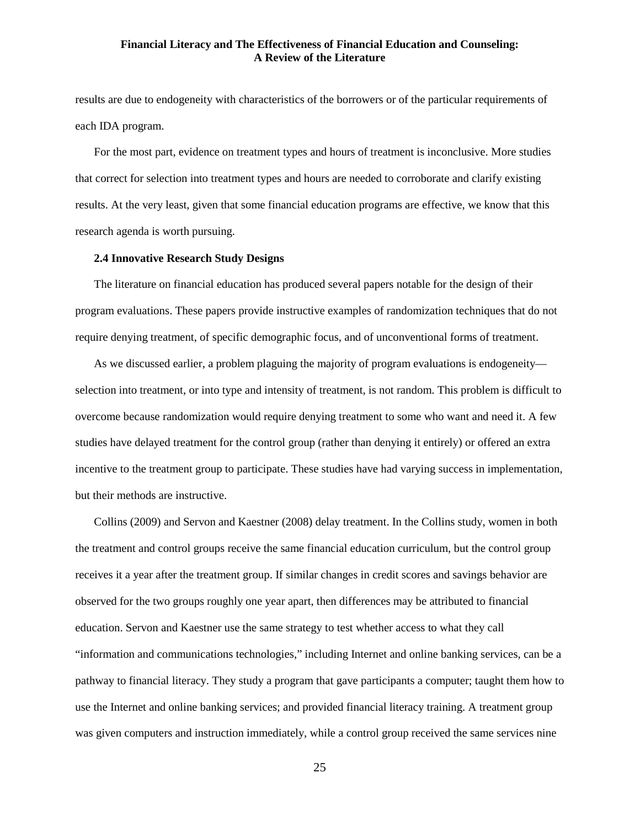results are due to endogeneity with characteristics of the borrowers or of the particular requirements of each IDA program.

For the most part, evidence on treatment types and hours of treatment is inconclusive. More studies that correct for selection into treatment types and hours are needed to corroborate and clarify existing results. At the very least, given that some financial education programs are effective, we know that this research agenda is worth pursuing.

## **2.4 Innovative Research Study Designs**

The literature on financial education has produced several papers notable for the design of their program evaluations. These papers provide instructive examples of randomization techniques that do not require denying treatment, of specific demographic focus, and of unconventional forms of treatment.

As we discussed earlier, a problem plaguing the majority of program evaluations is endogeneity selection into treatment, or into type and intensity of treatment, is not random. This problem is difficult to overcome because randomization would require denying treatment to some who want and need it. A few studies have delayed treatment for the control group (rather than denying it entirely) or offered an extra incentive to the treatment group to participate. These studies have had varying success in implementation, but their methods are instructive.

Collins (2009) and Servon and Kaestner (2008) delay treatment. In the Collins study, women in both the treatment and control groups receive the same financial education curriculum, but the control group receives it a year after the treatment group. If similar changes in credit scores and savings behavior are observed for the two groups roughly one year apart, then differences may be attributed to financial education. Servon and Kaestner use the same strategy to test whether access to what they call "information and communications technologies," including Internet and online banking services, can be a pathway to financial literacy. They study a program that gave participants a computer; taught them how to use the Internet and online banking services; and provided financial literacy training. A treatment group was given computers and instruction immediately, while a control group received the same services nine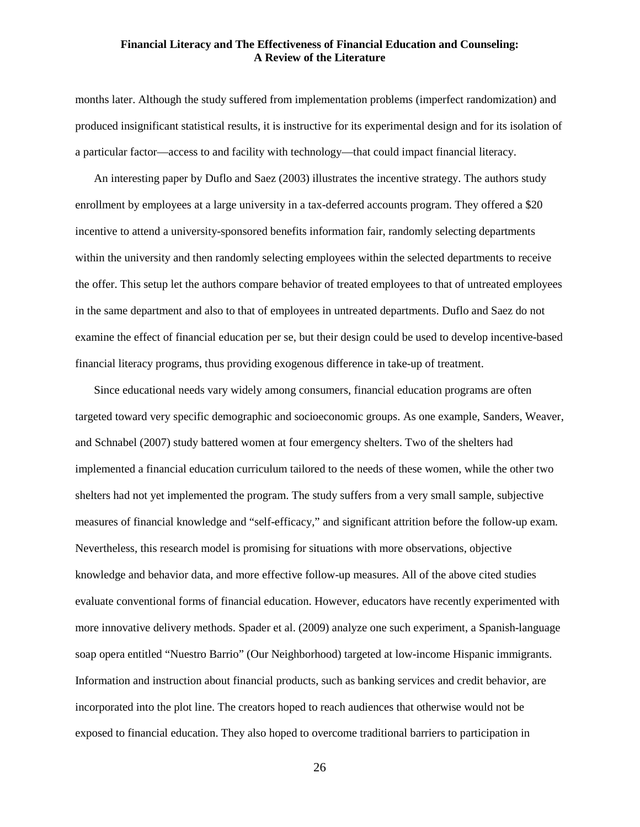months later. Although the study suffered from implementation problems (imperfect randomization) and produced insignificant statistical results, it is instructive for its experimental design and for its isolation of a particular factor—access to and facility with technology—that could impact financial literacy.

An interesting paper by Duflo and Saez (2003) illustrates the incentive strategy. The authors study enrollment by employees at a large university in a tax-deferred accounts program. They offered a \$20 incentive to attend a university-sponsored benefits information fair, randomly selecting departments within the university and then randomly selecting employees within the selected departments to receive the offer. This setup let the authors compare behavior of treated employees to that of untreated employees in the same department and also to that of employees in untreated departments. Duflo and Saez do not examine the effect of financial education per se, but their design could be used to develop incentive-based financial literacy programs, thus providing exogenous difference in take-up of treatment.

Since educational needs vary widely among consumers, financial education programs are often targeted toward very specific demographic and socioeconomic groups. As one example, Sanders, Weaver, and Schnabel (2007) study battered women at four emergency shelters. Two of the shelters had implemented a financial education curriculum tailored to the needs of these women, while the other two shelters had not yet implemented the program. The study suffers from a very small sample, subjective measures of financial knowledge and "self-efficacy," and significant attrition before the follow-up exam. Nevertheless, this research model is promising for situations with more observations, objective knowledge and behavior data, and more effective follow-up measures. All of the above cited studies evaluate conventional forms of financial education. However, educators have recently experimented with more innovative delivery methods. Spader et al. (2009) analyze one such experiment, a Spanish-language soap opera entitled "Nuestro Barrio" (Our Neighborhood) targeted at low-income Hispanic immigrants. Information and instruction about financial products, such as banking services and credit behavior, are incorporated into the plot line. The creators hoped to reach audiences that otherwise would not be exposed to financial education. They also hoped to overcome traditional barriers to participation in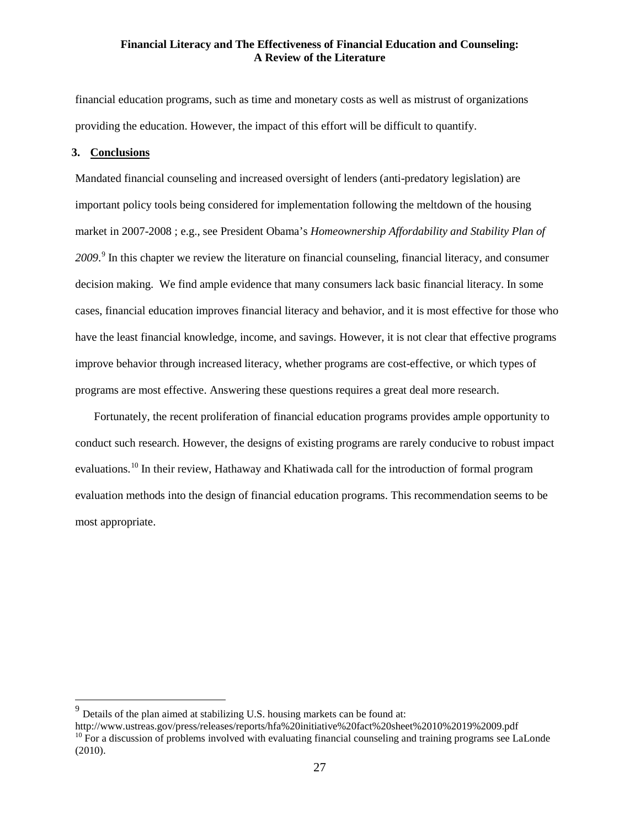financial education programs, such as time and monetary costs as well as mistrust of organizations providing the education. However, the impact of this effort will be difficult to quantify.

#### **3. Conclusions**

Mandated financial counseling and increased oversight of lenders (anti-predatory legislation) are important policy tools being considered for implementation following the meltdown of the housing market in 2007-2008 ; e.g., see President Obama's *Homeownership Affordability and Stability Plan of 2009*. [9](#page-26-0) In this chapter we review the literature on financial counseling, financial literacy, and consumer decision making. We find ample evidence that many consumers lack basic financial literacy. In some cases, financial education improves financial literacy and behavior, and it is most effective for those who have the least financial knowledge, income, and savings. However, it is not clear that effective programs improve behavior through increased literacy, whether programs are cost-effective, or which types of programs are most effective. Answering these questions requires a great deal more research.

Fortunately, the recent proliferation of financial education programs provides ample opportunity to conduct such research. However, the designs of existing programs are rarely conducive to robust impact evaluations.<sup>[10](#page-26-1)</sup> In their review, Hathaway and Khatiwada call for the introduction of formal program evaluation methods into the design of financial education programs. This recommendation seems to be most appropriate.

<span id="page-26-0"></span> $9$  Details of the plan aimed at stabilizing U.S. housing markets can be found at:

<span id="page-26-1"></span>http://www.ustreas.gov/press/releases/reports/hfa%20initiative%20fact%20sheet%2010%2019%2009.pdf  $10$  For a discussion of problems involved with evaluating financial counseling and training programs see LaLonde (2010).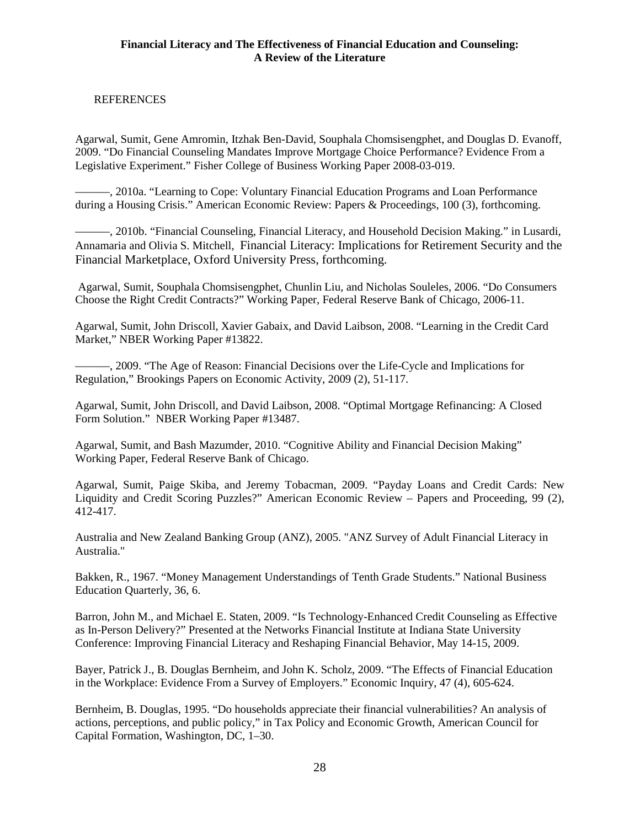# REFERENCES

Agarwal, Sumit, Gene Amromin, Itzhak Ben-David, Souphala Chomsisengphet, and Douglas D. Evanoff, 2009. "Do Financial Counseling Mandates Improve Mortgage Choice Performance? Evidence From a Legislative Experiment." Fisher College of Business Working Paper 2008-03-019.

———, 2010a. "Learning to Cope: Voluntary Financial Education Programs and Loan Performance during a Housing Crisis." American Economic Review: Papers & Proceedings, 100 (3), forthcoming.

———, 2010b. "Financial Counseling, Financial Literacy, and Household Decision Making." in Lusardi, Annamaria and Olivia S. Mitchell, Financial Literacy: Implications for Retirement Security and the Financial Marketplace, Oxford University Press, forthcoming.

Agarwal, Sumit, Souphala Chomsisengphet, Chunlin Liu, and Nicholas Souleles, 2006. "Do Consumers Choose the Right Credit Contracts?" Working Paper, Federal Reserve Bank of Chicago, 2006-11.

Agarwal, Sumit, John Driscoll, Xavier Gabaix, and David Laibson, 2008. "Learning in the Credit Card Market," NBER Working Paper #13822.

———, 2009. "The Age of Reason: Financial Decisions over the Life-Cycle and Implications for Regulation," Brookings Papers on Economic Activity, 2009 (2), 51-117.

Agarwal, Sumit, John Driscoll, and David Laibson, 2008. "Optimal Mortgage Refinancing: A Closed Form Solution." NBER Working Paper #13487.

Agarwal, Sumit, and Bash Mazumder, 2010. "Cognitive Ability and Financial Decision Making" Working Paper, Federal Reserve Bank of Chicago.

Agarwal, Sumit, Paige Skiba, and Jeremy Tobacman, 2009. "Payday Loans and Credit Cards: New Liquidity and Credit Scoring Puzzles?" American Economic Review – Papers and Proceeding, 99 (2), 412-417.

Australia and New Zealand Banking Group (ANZ), 2005. "ANZ Survey of Adult Financial Literacy in Australia."

Bakken, R., 1967. "Money Management Understandings of Tenth Grade Students." National Business Education Quarterly, 36, 6.

Barron, John M., and Michael E. Staten, 2009. "Is Technology-Enhanced Credit Counseling as Effective as In-Person Delivery?" Presented at the Networks Financial Institute at Indiana State University Conference: Improving Financial Literacy and Reshaping Financial Behavior, May 14-15, 2009.

Bayer, Patrick J., B. Douglas Bernheim, and John K. Scholz, 2009. "The Effects of Financial Education in the Workplace: Evidence From a Survey of Employers." Economic Inquiry, 47 (4), 605-624.

Bernheim, B. Douglas, 1995. "Do households appreciate their financial vulnerabilities? An analysis of actions, perceptions, and public policy," in Tax Policy and Economic Growth, American Council for Capital Formation, Washington, DC, 1–30.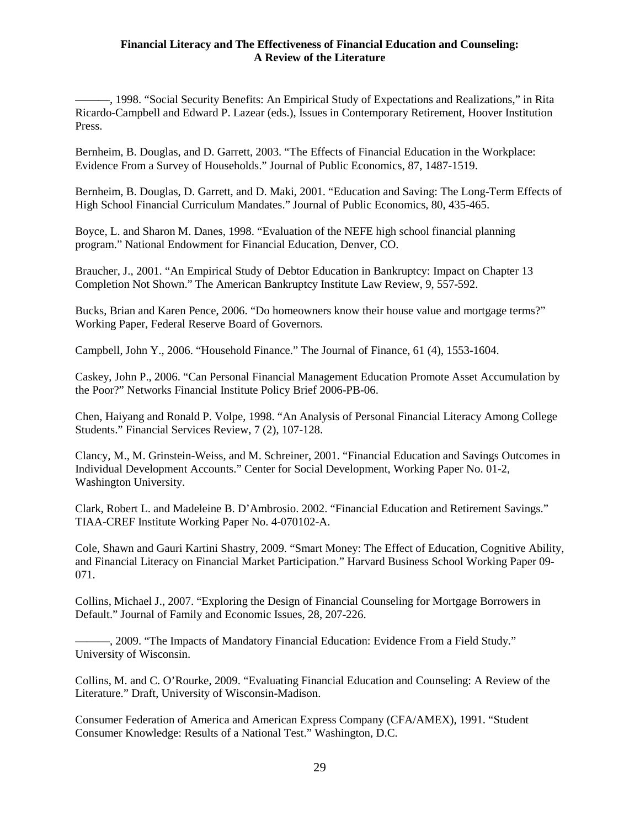———, 1998. "Social Security Benefits: An Empirical Study of Expectations and Realizations," in Rita Ricardo-Campbell and Edward P. Lazear (eds.), Issues in Contemporary Retirement, Hoover Institution Press.

Bernheim, B. Douglas, and D. Garrett, 2003. "The Effects of Financial Education in the Workplace: Evidence From a Survey of Households." Journal of Public Economics, 87, 1487-1519.

Bernheim, B. Douglas, D. Garrett, and D. Maki, 2001. "Education and Saving: The Long-Term Effects of High School Financial Curriculum Mandates." Journal of Public Economics, 80, 435-465.

Boyce, L. and Sharon M. Danes, 1998. "Evaluation of the NEFE high school financial planning program." National Endowment for Financial Education, Denver, CO.

Braucher, J., 2001. "An Empirical Study of Debtor Education in Bankruptcy: Impact on Chapter 13 Completion Not Shown." The American Bankruptcy Institute Law Review, 9, 557-592.

Bucks, Brian and Karen Pence, 2006. "Do homeowners know their house value and mortgage terms?" Working Paper, Federal Reserve Board of Governors.

Campbell, John Y., 2006. "Household Finance." The Journal of Finance, 61 (4), 1553-1604.

Caskey, John P., 2006. "Can Personal Financial Management Education Promote Asset Accumulation by the Poor?" Networks Financial Institute Policy Brief 2006-PB-06.

Chen, Haiyang and Ronald P. Volpe, 1998. "An Analysis of Personal Financial Literacy Among College Students." Financial Services Review, 7 (2), 107-128.

Clancy, M., M. Grinstein-Weiss, and M. Schreiner, 2001. "Financial Education and Savings Outcomes in Individual Development Accounts." Center for Social Development, Working Paper No. 01-2, Washington University.

Clark, Robert L. and Madeleine B. D'Ambrosio. 2002. "Financial Education and Retirement Savings." TIAA-CREF Institute Working Paper No. 4-070102-A.

Cole, Shawn and Gauri Kartini Shastry, 2009. "Smart Money: The Effect of Education, Cognitive Ability, and Financial Literacy on Financial Market Participation." Harvard Business School Working Paper 09- 071.

Collins, Michael J., 2007. "Exploring the Design of Financial Counseling for Mortgage Borrowers in Default." Journal of Family and Economic Issues, 28, 207-226.

———, 2009. "The Impacts of Mandatory Financial Education: Evidence From a Field Study." University of Wisconsin.

Collins, M. and C. O'Rourke, 2009. "Evaluating Financial Education and Counseling: A Review of the Literature." Draft, University of Wisconsin-Madison.

Consumer Federation of America and American Express Company (CFA/AMEX), 1991. "Student Consumer Knowledge: Results of a National Test." Washington, D.C.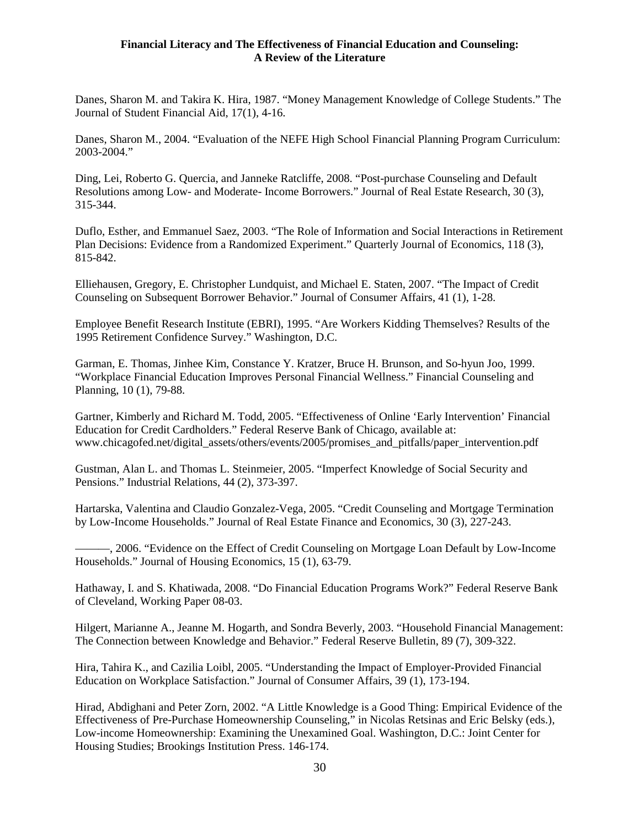Danes, Sharon M. and Takira K. Hira, 1987. "Money Management Knowledge of College Students." The Journal of Student Financial Aid, 17(1), 4-16.

Danes, Sharon M., 2004. "Evaluation of the NEFE High School Financial Planning Program Curriculum: 2003-2004."

Ding, Lei, Roberto G. Quercia, and Janneke Ratcliffe, 2008. "Post-purchase Counseling and Default Resolutions among Low- and Moderate- Income Borrowers." Journal of Real Estate Research, 30 (3), 315-344.

Duflo, Esther, and Emmanuel Saez, 2003. "The Role of Information and Social Interactions in Retirement Plan Decisions: Evidence from a Randomized Experiment." Quarterly Journal of Economics, 118 (3), 815-842.

Elliehausen, Gregory, E. Christopher Lundquist, and Michael E. Staten, 2007. "The Impact of Credit Counseling on Subsequent Borrower Behavior." Journal of Consumer Affairs, 41 (1), 1-28.

Employee Benefit Research Institute (EBRI), 1995. "Are Workers Kidding Themselves? Results of the 1995 Retirement Confidence Survey." Washington, D.C.

Garman, E. Thomas, Jinhee Kim, Constance Y. Kratzer, Bruce H. Brunson, and So-hyun Joo, 1999. "Workplace Financial Education Improves Personal Financial Wellness." Financial Counseling and Planning, 10 (1), 79-88.

Gartner, Kimberly and Richard M. Todd, 2005. "Effectiveness of Online 'Early Intervention' Financial Education for Credit Cardholders." Federal Reserve Bank of Chicago, available at: www.chicagofed.net/digital\_assets/others/events/2005/promises\_and\_pitfalls/paper\_intervention.pdf

Gustman, Alan L. and Thomas L. Steinmeier, 2005. "Imperfect Knowledge of Social Security and Pensions." Industrial Relations, 44 (2), 373-397.

Hartarska, Valentina and Claudio Gonzalez-Vega, 2005. "Credit Counseling and Mortgage Termination by Low-Income Households." Journal of Real Estate Finance and Economics, 30 (3), 227-243.

———, 2006. "Evidence on the Effect of Credit Counseling on Mortgage Loan Default by Low-Income Households." Journal of Housing Economics, 15 (1), 63-79.

Hathaway, I. and S. Khatiwada, 2008. "Do Financial Education Programs Work?" Federal Reserve Bank of Cleveland, Working Paper 08-03.

Hilgert, Marianne A., Jeanne M. Hogarth, and Sondra Beverly, 2003. "Household Financial Management: The Connection between Knowledge and Behavior." Federal Reserve Bulletin, 89 (7), 309-322.

Hira, Tahira K., and Cazilia Loibl, 2005. "Understanding the Impact of Employer-Provided Financial Education on Workplace Satisfaction." Journal of Consumer Affairs, 39 (1), 173-194.

Hirad, Abdighani and Peter Zorn, 2002. "A Little Knowledge is a Good Thing: Empirical Evidence of the Effectiveness of Pre-Purchase Homeownership Counseling," in Nicolas Retsinas and Eric Belsky (eds.), Low-income Homeownership: Examining the Unexamined Goal. Washington, D.C.: Joint Center for Housing Studies; Brookings Institution Press. 146-174.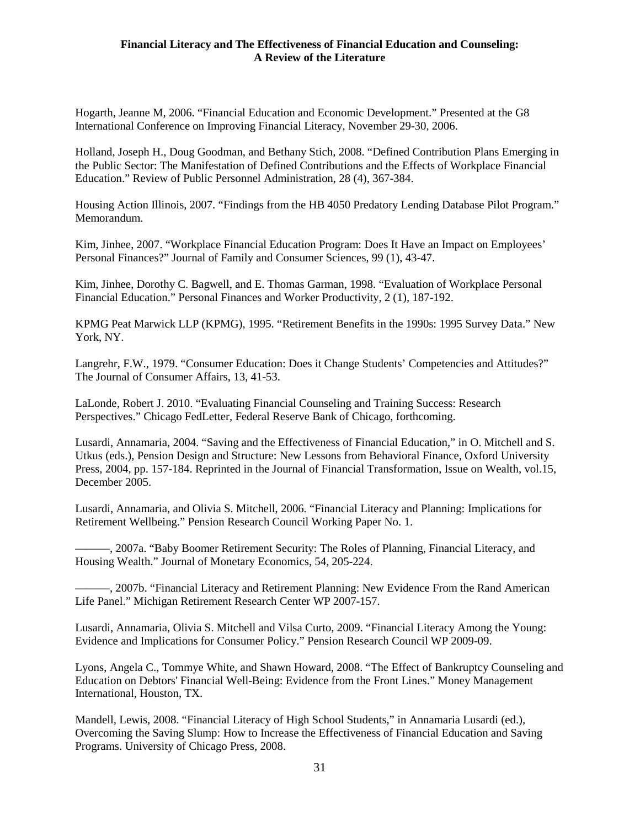Hogarth, Jeanne M, 2006. "Financial Education and Economic Development." Presented at the G8 International Conference on Improving Financial Literacy, November 29-30, 2006.

Holland, Joseph H., Doug Goodman, and Bethany Stich, 2008. "Defined Contribution Plans Emerging in the Public Sector: The Manifestation of Defined Contributions and the Effects of Workplace Financial Education." Review of Public Personnel Administration, 28 (4), 367-384.

Housing Action Illinois, 2007. "Findings from the HB 4050 Predatory Lending Database Pilot Program." Memorandum.

Kim, Jinhee, 2007. "Workplace Financial Education Program: Does It Have an Impact on Employees' Personal Finances?" Journal of Family and Consumer Sciences, 99 (1), 43-47.

Kim, Jinhee, Dorothy C. Bagwell, and E. Thomas Garman, 1998. "Evaluation of Workplace Personal Financial Education." Personal Finances and Worker Productivity, 2 (1), 187-192.

KPMG Peat Marwick LLP (KPMG), 1995. "Retirement Benefits in the 1990s: 1995 Survey Data." New York, NY.

Langrehr, F.W., 1979. "Consumer Education: Does it Change Students' Competencies and Attitudes?" The Journal of Consumer Affairs, 13, 41-53.

LaLonde, Robert J. 2010. "Evaluating Financial Counseling and Training Success: Research Perspectives." Chicago FedLetter, Federal Reserve Bank of Chicago, forthcoming.

Lusardi, Annamaria, 2004. "Saving and the Effectiveness of Financial Education," in O. Mitchell and S. Utkus (eds.), Pension Design and Structure: New Lessons from Behavioral Finance, Oxford University Press, 2004, pp. 157-184. Reprinted in the Journal of Financial Transformation, Issue on Wealth, vol.15, December 2005.

Lusardi, Annamaria, and Olivia S. Mitchell, 2006. "Financial Literacy and Planning: Implications for Retirement Wellbeing." Pension Research Council Working Paper No. 1.

———, 2007a. "Baby Boomer Retirement Security: The Roles of Planning, Financial Literacy, and Housing Wealth." Journal of Monetary Economics, 54, 205-224.

———, 2007b. "Financial Literacy and Retirement Planning: New Evidence From the Rand American Life Panel." Michigan Retirement Research Center WP 2007-157.

Lusardi, Annamaria, Olivia S. Mitchell and Vilsa Curto, 2009. "Financial Literacy Among the Young: Evidence and Implications for Consumer Policy." Pension Research Council WP 2009-09.

Lyons, Angela C., Tommye White, and Shawn Howard, 2008. "The Effect of Bankruptcy Counseling and Education on Debtors' Financial Well-Being: Evidence from the Front Lines." Money Management International, Houston, TX.

Mandell, Lewis, 2008. "Financial Literacy of High School Students," in Annamaria Lusardi (ed.), Overcoming the Saving Slump: How to Increase the Effectiveness of Financial Education and Saving Programs. University of Chicago Press, 2008.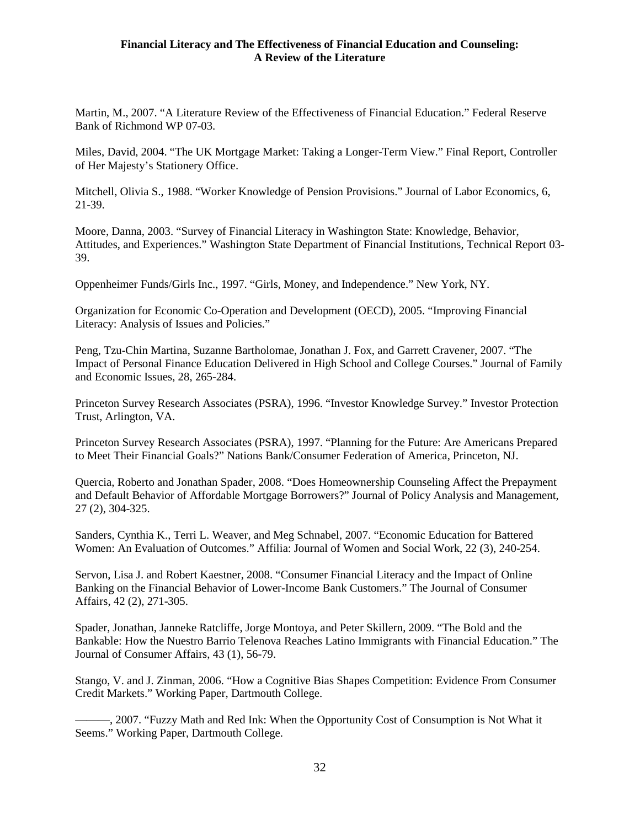Martin, M., 2007. "A Literature Review of the Effectiveness of Financial Education." Federal Reserve Bank of Richmond WP 07-03.

Miles, David, 2004. "The UK Mortgage Market: Taking a Longer-Term View." Final Report, Controller of Her Majesty's Stationery Office.

Mitchell, Olivia S., 1988. "Worker Knowledge of Pension Provisions." Journal of Labor Economics, 6, 21-39.

Moore, Danna, 2003. "Survey of Financial Literacy in Washington State: Knowledge, Behavior, Attitudes, and Experiences." Washington State Department of Financial Institutions, Technical Report 03- 39.

Oppenheimer Funds/Girls Inc., 1997. "Girls, Money, and Independence." New York, NY.

Organization for Economic Co-Operation and Development (OECD), 2005. "Improving Financial Literacy: Analysis of Issues and Policies."

Peng, Tzu-Chin Martina, Suzanne Bartholomae, Jonathan J. Fox, and Garrett Cravener, 2007. "The Impact of Personal Finance Education Delivered in High School and College Courses." Journal of Family and Economic Issues, 28, 265-284.

Princeton Survey Research Associates (PSRA), 1996. "Investor Knowledge Survey." Investor Protection Trust, Arlington, VA.

Princeton Survey Research Associates (PSRA), 1997. "Planning for the Future: Are Americans Prepared to Meet Their Financial Goals?" Nations Bank/Consumer Federation of America, Princeton, NJ.

Quercia, Roberto and Jonathan Spader, 2008. "Does Homeownership Counseling Affect the Prepayment and Default Behavior of Affordable Mortgage Borrowers?" Journal of Policy Analysis and Management, 27 (2), 304-325.

Sanders, Cynthia K., Terri L. Weaver, and Meg Schnabel, 2007. "Economic Education for Battered Women: An Evaluation of Outcomes." Affilia: Journal of Women and Social Work, 22 (3), 240-254.

Servon, Lisa J. and Robert Kaestner, 2008. "Consumer Financial Literacy and the Impact of Online Banking on the Financial Behavior of Lower-Income Bank Customers." The Journal of Consumer Affairs, 42 (2), 271-305.

Spader, Jonathan, Janneke Ratcliffe, Jorge Montoya, and Peter Skillern, 2009. "The Bold and the Bankable: How the Nuestro Barrio Telenova Reaches Latino Immigrants with Financial Education." The Journal of Consumer Affairs, 43 (1), 56-79.

Stango, V. and J. Zinman, 2006. "How a Cognitive Bias Shapes Competition: Evidence From Consumer Credit Markets." Working Paper, Dartmouth College.

———, 2007. "Fuzzy Math and Red Ink: When the Opportunity Cost of Consumption is Not What it Seems." Working Paper, Dartmouth College.